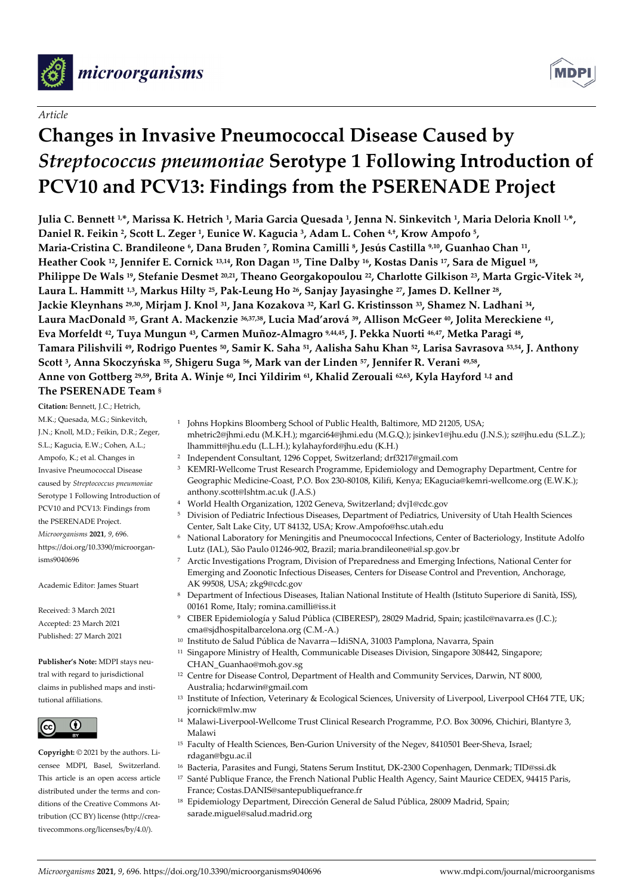

# *Article*

# **Changes in Invasive Pneumococcal Disease Caused by**  *Streptococcus pneumoniae* **Serotype 1 Following Introduction of PCV10 and PCV13: Findings from the PSERENADE Project**

**Julia C. Bennett 1, \*, Marissa K. Hetrich 1, Maria Garcia Quesada 1, Jenna N. Sinkevitch 1, Maria Deloria Knoll 1, \*, Daniel R. Feikin 2, Scott L. Zeger 1, Eunice W. Kagucia 3, Adam L. Cohen 4,†, Krow Ampofo 5, Maria-Cristina C. Brandileone 6, Dana Bruden 7, Romina Camilli 8, Jesús Castilla 9,10, Guanhao Chan 11, Heather Cook 12, Jennifer E. Cornick 13,14, Ron Dagan 15, Tine Dalby 16, Kostas Danis 17, Sara de Miguel 18, Philippe De Wals 19, Stefanie Desmet 20,21, Theano Georgakopoulou 22, Charlotte Gilkison 23, Marta Grgic-Vitek 24, Laura L. Hammitt 1,3, Markus Hilty 25, Pak-Leung Ho 26, Sanjay Jayasinghe 27, James D. Kellner 28, Jackie Kleynhans 29,30, Mirjam J. Knol 31, Jana Kozakova 32, Karl G. Kristinsson 33, Shamez N. Ladhani 34, Laura MacDonald 35, Grant A. Mackenzie 36,37,38, Lucia Mad'arová 39, Allison McGeer 40, Jolita Mereckiene 41, Eva Morfeldt 42, Tuya Mungun 43, Carmen Muñoz-Almagro 9,44,45, J. Pekka Nuorti 46,47, Metka Paragi 48, Tamara Pilishvili 49, Rodrigo Puentes 50, Samir K. Saha 51, Aalisha Sahu Khan 52, Larisa Savrasova 53,54, J. Anthony Scott 3, Anna Skoczyńska 55, Shigeru Suga 56, Mark van der Linden 57, Jennifer R. Verani 49,58, Anne von Gottberg 29,59, Brita A. Winje 60, Inci Yildirim 61, Khalid Zerouali 62,63, Kyla Hayford 1,‡ and** 

# **The PSERENADE Team §**

**Citation:** Bennett, J.C.; Hetrich, M.K.; Quesada, M.G.; Sinkevitch, J.N.; Knoll, M.D.; Feikin, D.R.; Zeger, S.L.; Kagucia, E.W.; Cohen, A.L.; Ampofo, K.; et al. Changes in Invasive Pneumococcal Disease caused by *Streptococcus pneumoniae* Serotype 1 Following Introduction of PCV10 and PCV13: Findings from the PSERENADE Project. *Microorganisms* **2021**, *9*, 696. https://doi.org/10.3390/microorganisms9040696

Academic Editor: James Stuart

Received: 3 March 2021 Accepted: 23 March 2021 Published: 27 March 2021

**Publisher's Note:** MDPI stays neutral with regard to jurisdictional claims in published maps and institutional affiliations.



**Copyright:** © 2021 by the authors. Licensee MDPI, Basel, Switzerland. This article is an open access article distributed under the terms and conditions of the Creative Commons Attribution (CC BY) license (http://creativecommons.org/licenses/by/4.0/).

- <sup>1</sup> Johns Hopkins Bloomberg School of Public Health, Baltimore, MD 21205, USA; mhetric2@jhmi.edu (M.K.H.); mgarci64@jhmi.edu (M.G.Q.); jsinkev1@jhu.edu (J.N.S.); sz@jhu.edu (S.L.Z.); lhammitt@jhu.edu (L.L.H.); kylahayford@jhu.edu (K.H.)
- <sup>2</sup> Independent Consultant, 1296 Coppet, Switzerland; drf3217@gmail.com
- <sup>3</sup> KEMRI-Wellcome Trust Research Programme, Epidemiology and Demography Department, Centre for Geographic Medicine-Coast, P.O. Box 230-80108, Kilifi, Kenya; EKagucia@kemri-wellcome.org (E.W.K.); anthony.scott@lshtm.ac.uk (J.A.S.)
- <sup>4</sup> World Health Organization, 1202 Geneva, Switzerland; dvj1@cdc.gov
- <sup>5</sup> Division of Pediatric Infectious Diseases, Department of Pediatrics, University of Utah Health Sciences Center, Salt Lake City, UT 84132, USA; Krow.Ampofo@hsc.utah.edu
- <sup>6</sup> National Laboratory for Meningitis and Pneumococcal Infections, Center of Bacteriology, Institute Adolfo Lutz (IAL), São Paulo 01246-902, Brazil; maria.brandileone@ial.sp.gov.br
- <sup>7</sup> Arctic Investigations Program, Division of Preparedness and Emerging Infections, National Center for Emerging and Zoonotic Infectious Diseases, Centers for Disease Control and Prevention, Anchorage, AK 99508, USA; zkg9@cdc.gov
- <sup>8</sup> Department of Infectious Diseases, Italian National Institute of Health (Istituto Superiore di Sanità, ISS), 00161 Rome, Italy; romina.camilli@iss.it
- <sup>9</sup> CIBER Epidemiología y Salud Pública (CIBERESP), 28029 Madrid, Spain; jcastilc@navarra.es (J.C.); cma@sjdhospitalbarcelona.org (C.M.-A.)
- <sup>10</sup> Instituto de Salud Pública de Navarra—IdiSNA, 31003 Pamplona, Navarra, Spain
- <sup>11</sup> Singapore Ministry of Health, Communicable Diseases Division, Singapore 308442, Singapore; CHAN\_Guanhao@moh.gov.sg
- <sup>12</sup> Centre for Disease Control, Department of Health and Community Services, Darwin, NT 8000, Australia; hcdarwin@gmail.com
- <sup>13</sup> Institute of Infection, Veterinary & Ecological Sciences, University of Liverpool, Liverpool CH64 7TE, UK; jcornick@mlw.mw
- <sup>14</sup> Malawi-Liverpool-Wellcome Trust Clinical Research Programme, P.O. Box 30096, Chichiri, Blantyre 3, Malawi
- <sup>15</sup> Faculty of Health Sciences, Ben-Gurion University of the Negev, 8410501 Beer-Sheva, Israel; rdagan@bgu.ac.il
- <sup>16</sup> Bacteria, Parasites and Fungi, Statens Serum Institut, DK-2300 Copenhagen, Denmark; TID@ssi.dk
- <sup>17</sup> Santé Publique France, the French National Public Health Agency, Saint Maurice CEDEX, 94415 Paris, France; Costas.DANIS@santepubliquefrance.fr
- <sup>18</sup> Epidemiology Department, Dirección General de Salud Pública, 28009 Madrid, Spain; sarade.miguel@salud.madrid.org



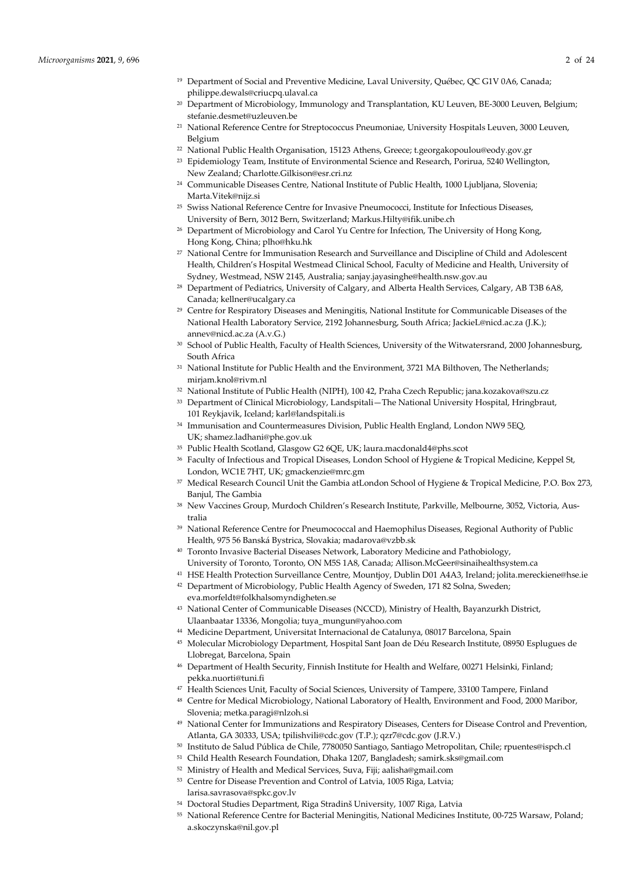- <sup>20</sup> Department of Microbiology, Immunology and Transplantation, KU Leuven, BE-3000 Leuven, Belgium; stefanie.desmet@uzleuven.be
- <sup>21</sup> National Reference Centre for Streptococcus Pneumoniae, University Hospitals Leuven, 3000 Leuven, Belgium
- <sup>22</sup> National Public Health Organisation, 15123 Athens, Greece; t.georgakopoulou@eody.gov.gr
- <sup>23</sup> Epidemiology Team, Institute of Environmental Science and Research, Porirua, 5240 Wellington, New Zealand; Charlotte.Gilkison@esr.cri.nz
- <sup>24</sup> Communicable Diseases Centre, National Institute of Public Health, 1000 Ljubljana, Slovenia; Marta.Vitek@nijz.si
- <sup>25</sup> Swiss National Reference Centre for Invasive Pneumococci, Institute for Infectious Diseases, University of Bern, 3012 Bern, Switzerland; Markus.Hilty@ifik.unibe.ch
- <sup>26</sup> Department of Microbiology and Carol Yu Centre for Infection, The University of Hong Kong, Hong Kong, China; plho@hku.hk
- <sup>27</sup> National Centre for Immunisation Research and Surveillance and Discipline of Child and Adolescent Health, Children's Hospital Westmead Clinical School, Faculty of Medicine and Health, University of Sydney, Westmead, NSW 2145, Australia; sanjay.jayasinghe@health.nsw.gov.au
- <sup>28</sup> Department of Pediatrics, University of Calgary, and Alberta Health Services, Calgary, AB T3B 6A8, Canada; kellner@ucalgary.ca
- <sup>29</sup> Centre for Respiratory Diseases and Meningitis, National Institute for Communicable Diseases of the National Health Laboratory Service, 2192 Johannesburg, South Africa; JackieL@nicd.ac.za (J.K.); annev@nicd.ac.za (A.v.G.)
- 30 School of Public Health, Faculty of Health Sciences, University of the Witwatersrand, 2000 Johannesburg, South Africa
- <sup>31</sup> National Institute for Public Health and the Environment, 3721 MA Bilthoven, The Netherlands; mirjam.knol@rivm.nl
- <sup>32</sup> National Institute of Public Health (NIPH), 100 42, Praha Czech Republic; jana.kozakova@szu.cz
- <sup>33</sup> Department of Clinical Microbiology, Landspitali—The National University Hospital, Hringbraut, 101 Reykjavik, Iceland; karl@landspitali.is
- <sup>34</sup> Immunisation and Countermeasures Division, Public Health England, London NW9 5EQ, UK; shamez.ladhani@phe.gov.uk
- <sup>35</sup> Public Health Scotland, Glasgow G2 6QE, UK; laura.macdonald4@phs.scot
- <sup>36</sup> Faculty of Infectious and Tropical Diseases, London School of Hygiene & Tropical Medicine, Keppel St, London, WC1E 7HT, UK; gmackenzie@mrc.gm
- <sup>37</sup> Medical Research Council Unit the Gambia atLondon School of Hygiene & Tropical Medicine, P.O. Box 273, Banjul, The Gambia
- <sup>38</sup> New Vaccines Group, Murdoch Children's Research Institute, Parkville, Melbourne, 3052, Victoria, Australia
- <sup>39</sup> National Reference Centre for Pneumococcal and Haemophilus Diseases, Regional Authority of Public Health, 975 56 Banská Bystrica, Slovakia; madarova@vzbb.sk
- <sup>40</sup> Toronto Invasive Bacterial Diseases Network, Laboratory Medicine and Pathobiology,
- University of Toronto, Toronto, ON M5S 1A8, Canada; Allison.McGeer@sinaihealthsystem.ca
- <sup>41</sup> HSE Health Protection Surveillance Centre, Mountjoy, Dublin D01 A4A3, Ireland; jolita.mereckiene@hse.ie <sup>42</sup> Department of Microbiology, Public Health Agency of Sweden, 171 82 Solna, Sweden;
- eva.morfeldt@folkhalsomyndigheten.se
- <sup>43</sup> National Center of Communicable Diseases (NCCD), Ministry of Health, Bayanzurkh District, Ulaanbaatar 13336, Mongolia; tuya\_mungun@yahoo.com
- <sup>44</sup> Medicine Department, Universitat Internacional de Catalunya, 08017 Barcelona, Spain
- <sup>45</sup> Molecular Microbiology Department, Hospital Sant Joan de Déu Research Institute, 08950 Esplugues de Llobregat, Barcelona, Spain
- <sup>46</sup> Department of Health Security, Finnish Institute for Health and Welfare, 00271 Helsinki, Finland; pekka.nuorti@tuni.fi
- <sup>47</sup> Health Sciences Unit, Faculty of Social Sciences, University of Tampere, 33100 Tampere, Finland
- <sup>48</sup> Centre for Medical Microbiology, National Laboratory of Health, Environment and Food, 2000 Maribor, Slovenia; metka.paragi@nlzoh.si
- <sup>49</sup> National Center for Immunizations and Respiratory Diseases, Centers for Disease Control and Prevention, Atlanta, GA 30333, USA; tpilishvili@cdc.gov (T.P.); qzr7@cdc.gov (J.R.V.)
- <sup>50</sup> Instituto de Salud Pública de Chile, 7780050 Santiago, Santiago Metropolitan, Chile; rpuentes@ispch.cl
- <sup>51</sup> Child Health Research Foundation, Dhaka 1207, Bangladesh; samirk.sks@gmail.com
- <sup>52</sup> Ministry of Health and Medical Services, Suva, Fiji; aalisha@gmail.com
- <sup>53</sup> Centre for Disease Prevention and Control of Latvia, 1005 Riga, Latvia; larisa.savrasova@spkc.gov.lv
- <sup>54</sup> Doctoral Studies Department, Riga Stradinš University, 1007 Riga, Latvia
- <sup>55</sup> National Reference Centre for Bacterial Meningitis, National Medicines Institute, 00-725 Warsaw, Poland; a.skoczynska@nil.gov.pl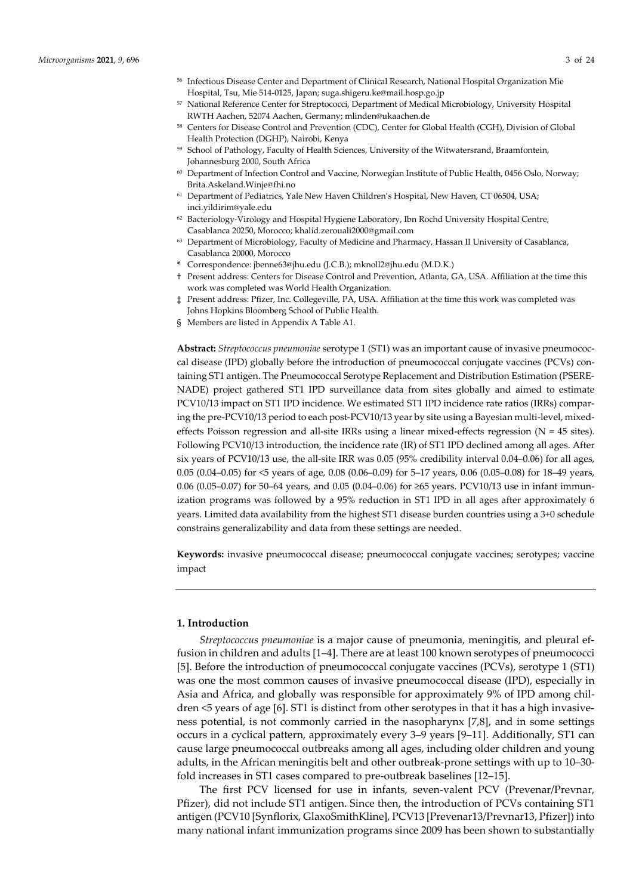- <sup>56</sup> Infectious Disease Center and Department of Clinical Research, National Hospital Organization Mie Hospital, Tsu, Mie 514-0125, Japan; suga.shigeru.ke@mail.hosp.go.jp
- <sup>57</sup> National Reference Center for Streptococci, Department of Medical Microbiology, University Hospital RWTH Aachen, 52074 Aachen, Germany; mlinden@ukaachen.de
- <sup>58</sup> Centers for Disease Control and Prevention (CDC), Center for Global Health (CGH), Division of Global Health Protection (DGHP), Nairobi, Kenya
- 59 School of Pathology, Faculty of Health Sciences, University of the Witwatersrand, Braamfontein, Johannesburg 2000, South Africa
- $60$  Department of Infection Control and Vaccine, Norwegian Institute of Public Health, 0456 Oslo, Norway; Brita.Askeland.Winje@fhi.no
- <sup>61</sup> Department of Pediatrics, Yale New Haven Children's Hospital, New Haven, CT 06504, USA; inci.yildirim@yale.edu
- <sup>62</sup> Bacteriology-Virology and Hospital Hygiene Laboratory, Ibn Rochd University Hospital Centre, Casablanca 20250, Morocco; khalid.zerouali2000@gmail.com
- $63$  Department of Microbiology, Faculty of Medicine and Pharmacy, Hassan II University of Casablanca, Casablanca 20000, Morocco
- **\*** Correspondence: jbenne63@jhu.edu (J.C.B.); mknoll2@jhu.edu (M.D.K.)
- † Present address: Centers for Disease Control and Prevention, Atlanta, GA, USA. Affiliation at the time this work was completed was World Health Organization.
- ‡ Present address: Pfizer, Inc. Collegeville, PA, USA. Affiliation at the time this work was completed was Johns Hopkins Bloomberg School of Public Health.
- § Members are listed in Appendix A Table A1.

**Abstract:** *Streptococcus pneumoniae* serotype 1 (ST1) was an important cause of invasive pneumococcal disease (IPD) globally before the introduction of pneumococcal conjugate vaccines (PCVs) containing ST1 antigen. The Pneumococcal Serotype Replacement and Distribution Estimation (PSERE-NADE) project gathered ST1 IPD surveillance data from sites globally and aimed to estimate PCV10/13 impact on ST1 IPD incidence. We estimated ST1 IPD incidence rate ratios (IRRs) comparing the pre-PCV10/13 period to each post-PCV10/13 year by site using a Bayesian multi-level, mixedeffects Poisson regression and all-site IRRs using a linear mixed-effects regression ( $N = 45$  sites). Following PCV10/13 introduction, the incidence rate (IR) of ST1 IPD declined among all ages. After six years of PCV10/13 use, the all-site IRR was 0.05 (95% credibility interval 0.04–0.06) for all ages, 0.05 (0.04–0.05) for <5 years of age, 0.08 (0.06–0.09) for 5–17 years, 0.06 (0.05–0.08) for 18–49 years, 0.06 (0.05–0.07) for 50–64 years, and 0.05 (0.04–0.06) for ≥65 years. PCV10/13 use in infant immunization programs was followed by a 95% reduction in ST1 IPD in all ages after approximately 6 years. Limited data availability from the highest ST1 disease burden countries using a 3+0 schedule constrains generalizability and data from these settings are needed.

**Keywords:** invasive pneumococcal disease; pneumococcal conjugate vaccines; serotypes; vaccine impact

## **1. Introduction**

*Streptococcus pneumoniae* is a major cause of pneumonia, meningitis, and pleural effusion in children and adults [1–4]. There are at least 100 known serotypes of pneumococci [5]. Before the introduction of pneumococcal conjugate vaccines (PCVs), serotype 1 (ST1) was one the most common causes of invasive pneumococcal disease (IPD), especially in Asia and Africa, and globally was responsible for approximately 9% of IPD among children <5 years of age [6]. ST1 is distinct from other serotypes in that it has a high invasiveness potential, is not commonly carried in the nasopharynx [7,8], and in some settings occurs in a cyclical pattern, approximately every 3–9 years [9–11]. Additionally, ST1 can cause large pneumococcal outbreaks among all ages, including older children and young adults, in the African meningitis belt and other outbreak-prone settings with up to 10–30 fold increases in ST1 cases compared to pre-outbreak baselines [12–15].

The first PCV licensed for use in infants, seven-valent PCV (Prevenar/Prevnar, Pfizer), did not include ST1 antigen. Since then, the introduction of PCVs containing ST1 antigen (PCV10 [Synflorix, GlaxoSmithKline], PCV13 [Prevenar13/Prevnar13, Pfizer]) into many national infant immunization programs since 2009 has been shown to substantially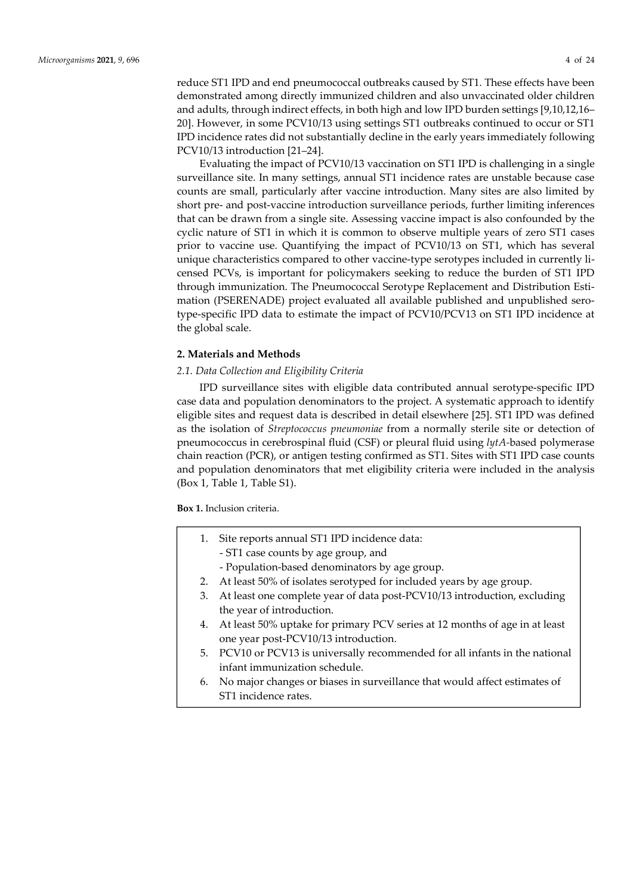reduce ST1 IPD and end pneumococcal outbreaks caused by ST1. These effects have been demonstrated among directly immunized children and also unvaccinated older children and adults, through indirect effects, in both high and low IPD burden settings [9,10,12,16– 20]. However, in some PCV10/13 using settings ST1 outbreaks continued to occur or ST1 IPD incidence rates did not substantially decline in the early years immediately following PCV10/13 introduction [21–24].

Evaluating the impact of PCV10/13 vaccination on ST1 IPD is challenging in a single surveillance site. In many settings, annual ST1 incidence rates are unstable because case counts are small, particularly after vaccine introduction. Many sites are also limited by short pre- and post-vaccine introduction surveillance periods, further limiting inferences that can be drawn from a single site. Assessing vaccine impact is also confounded by the cyclic nature of ST1 in which it is common to observe multiple years of zero ST1 cases prior to vaccine use. Quantifying the impact of PCV10/13 on ST1, which has several unique characteristics compared to other vaccine-type serotypes included in currently licensed PCVs, is important for policymakers seeking to reduce the burden of ST1 IPD through immunization. The Pneumococcal Serotype Replacement and Distribution Estimation (PSERENADE) project evaluated all available published and unpublished serotype-specific IPD data to estimate the impact of PCV10/PCV13 on ST1 IPD incidence at the global scale.

# **2. Materials and Methods**

# *2.1. Data Collection and Eligibility Criteria*

IPD surveillance sites with eligible data contributed annual serotype-specific IPD case data and population denominators to the project. A systematic approach to identify eligible sites and request data is described in detail elsewhere [25]. ST1 IPD was defined as the isolation of *Streptococcus pneumoniae* from a normally sterile site or detection of pneumococcus in cerebrospinal fluid (CSF) or pleural fluid using *lytA-*based polymerase chain reaction (PCR), or antigen testing confirmed as ST1. Sites with ST1 IPD case counts and population denominators that met eligibility criteria were included in the analysis (Box 1, Table 1, Table S1).

**Box 1.** Inclusion criteria.

- 1. Site reports annual ST1 IPD incidence data:
	- ST1 case counts by age group, and
	- Population-based denominators by age group.
- 2. At least 50% of isolates serotyped for included years by age group.
- 3. At least one complete year of data post-PCV10/13 introduction, excluding the year of introduction.
- 4. At least 50% uptake for primary PCV series at 12 months of age in at least one year post-PCV10/13 introduction.
- 5. PCV10 or PCV13 is universally recommended for all infants in the national infant immunization schedule.
- 6. No major changes or biases in surveillance that would affect estimates of ST1 incidence rates.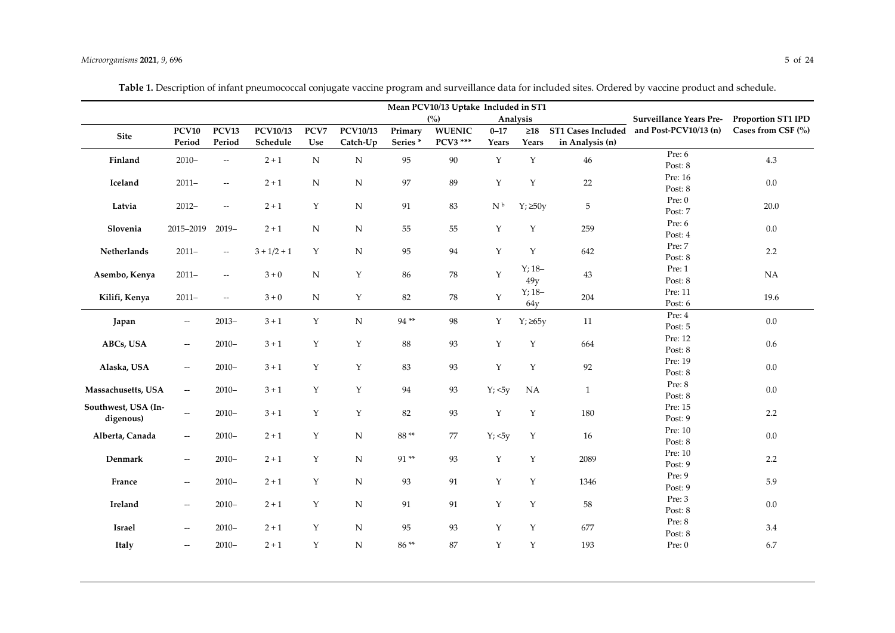|                     | Mean PCV10/13 Uptake Included in ST1                |                          |               |             |                 |                 |               |                            |               |                                |                       |                    |  |
|---------------------|-----------------------------------------------------|--------------------------|---------------|-------------|-----------------|-----------------|---------------|----------------------------|---------------|--------------------------------|-----------------------|--------------------|--|
|                     |                                                     |                          |               |             |                 | (%)<br>Analysis |               |                            |               | <b>Surveillance Years Pre-</b> | Proportion ST1 IPD    |                    |  |
| Site                | <b>PCV10</b>                                        | PCV13                    | PCV10/13      | PCV7        | <b>PCV10/13</b> | Primary         | <b>WUENIC</b> | $0 - 17$                   | $\geq18$      | ST1 Cases Included             | and Post-PCV10/13 (n) | Cases from CSF (%) |  |
|                     | Period                                              | Period                   | Schedule      | Use         | Catch-Up        | Series*         | PCV3 ***      | Years                      | Years         | in Analysis (n)                |                       |                    |  |
| Finland             | $2010 -$                                            | $\overline{\phantom{a}}$ | $2 + 1$       | ${\bf N}$   | ${\bf N}$       | 95              | 90            | Y                          | $\mathbf Y$   | $46\,$                         | Pre: 6                | 4.3                |  |
|                     |                                                     |                          |               |             |                 |                 |               |                            |               |                                | Post: 8               |                    |  |
| Iceland             | $2011-$                                             | $\overline{\phantom{a}}$ | $2 + 1$       | ${\bf N}$   | ${\bf N}$       | 97              | 89            | Y                          | $\mathbf Y$   | 22                             | Pre: 16               | 0.0                |  |
|                     |                                                     |                          |               |             |                 |                 |               |                            |               |                                | Post: 8               |                    |  |
| Latvia              | $2012 -$                                            | $\overline{\phantom{a}}$ | $2 + 1$       | $\mathbf Y$ | ${\bf N}$       | 91              | 83            | $\mathrm{N}$ $^\mathrm{b}$ | $Y; \geq 50y$ | $\sqrt{5}$                     | Pre: 0                | 20.0               |  |
|                     |                                                     |                          |               |             |                 |                 |               |                            |               |                                | Post: 7               |                    |  |
| Slovenia            | 2015-2019                                           | $2019-$                  | $2 + 1$       | ${\bf N}$   | ${\bf N}$       | 55              | 55            | Y                          | $\mathbf Y$   | 259                            | Pre: 6<br>Post: 4     | $0.0\,$            |  |
|                     |                                                     |                          |               |             |                 |                 |               |                            |               |                                | Pre: 7                |                    |  |
| Netherlands         | $2011-$                                             | $\overline{\phantom{a}}$ | $3 + 1/2 + 1$ | Y           | ${\bf N}$       | 95              | 94            | Y                          | $\mathbf Y$   | 642                            | Post: 8               | $2.2\,$            |  |
|                     |                                                     |                          |               |             |                 |                 |               |                            | $Y; 18-$      |                                | Pre: 1                |                    |  |
| Asembo, Kenya       | $2011-$                                             | $\overline{\phantom{a}}$ | $3 + 0$       | ${\bf N}$   | $\mathbf Y$     | 86              | 78            | $\mathbf Y$                | 49y           | $43\,$                         | Post: 8               | NA                 |  |
|                     |                                                     |                          |               |             |                 |                 |               |                            | $Y; 18-$      |                                | Pre: 11               |                    |  |
| Kilifi, Kenya       | $2011-$                                             | $\overline{\phantom{a}}$ | $3 + 0$       | ${\bf N}$   | Y               | $82\,$          | ${\bf 78}$    | Y                          | 64y           | 204                            | Post: 6               | 19.6               |  |
|                     |                                                     |                          |               |             |                 |                 |               |                            |               |                                | Pre: 4                |                    |  |
| Japan               | $-\hbox{--}$                                        | $2013-$                  | $3+1$         | Y           | ${\bf N}$       | $94**$          | 98            | Y                          | $Y; \ge 65y$  | $11\,$                         | Post: 5               | $0.0\,$            |  |
|                     |                                                     |                          |               |             |                 |                 |               |                            |               |                                | Pre: 12               |                    |  |
| ABCs, USA           | $\overline{\phantom{m}}$                            | $2010 -$                 | $3 + 1$       | $\mathbf Y$ | $\mathbf Y$     | 88              | 93            | $\mathbf Y$                | $\mathbf Y$   | 664                            | Post: 8               | $0.6\,$            |  |
|                     |                                                     |                          |               |             |                 | 83              | 93            |                            |               | $92\,$                         | Pre: 19               |                    |  |
| Alaska, USA         | $\overline{\phantom{m}}$                            | $2010 -$                 | $3 + 1$       | Y           | Y               |                 |               | Y                          | Y             |                                | Post: 8               | $0.0\,$            |  |
| Massachusetts, USA  | $\overline{\phantom{m}}$                            | $2010 -$                 | $3 + 1$       | Y           | Y               | 94              | 93            | $Y; 5y$                    | NA            | $\mathbf{1}$                   | Pre: 8                | $0.0\,$            |  |
|                     |                                                     |                          |               |             |                 |                 |               |                            |               |                                | Post: 8               |                    |  |
| Southwest, USA (In- | $\overline{\phantom{a}}$                            | $2010 -$                 | $3 + 1$       | Y           | Y               | 82              | 93            | Y                          | $\mathbf Y$   | 180                            | Pre: 15               | 2.2                |  |
| digenous)           |                                                     |                          |               |             |                 |                 |               |                            |               |                                | Post: 9               |                    |  |
| Alberta, Canada     | $\overline{\phantom{m}}$                            | $2010 -$                 | $2 + 1$       | $\mathbf Y$ | ${\bf N}$       | 88**            | 77            | $Y; 5y$                    | $\mathbf Y$   | $16\,$                         | Pre: 10               | $0.0\,$            |  |
|                     |                                                     |                          |               |             |                 |                 |               |                            |               |                                | Post: 8               |                    |  |
| Denmark             | $\overline{\phantom{a}}$                            | $2010 -$                 | $2 + 1$       | $\mathbf Y$ | ${\bf N}$       | 91**            | 93            | $\mathbf Y$                | $\mathbf Y$   | 2089                           | Pre: 10               | $2.2\,$            |  |
|                     |                                                     |                          |               |             |                 |                 |               |                            |               |                                | Post: 9               |                    |  |
| France              | $\overline{\phantom{m}}$                            | $2010 -$                 | $2 + 1$       | Y           | ${\bf N}$       | 93              | 91            | Y                          | Y             | 1346                           | Pre: 9                | 5.9                |  |
|                     |                                                     |                          |               |             |                 |                 |               |                            |               |                                | Post: 9<br>Pre: 3     |                    |  |
| Ireland             | $\overline{\phantom{a}}$                            | $2010 -$                 | $2 + 1$       | Y           | ${\bf N}$       | 91              | 91            | Y                          | Y             | 58                             | Post: 8               | 0.0                |  |
|                     |                                                     |                          |               |             |                 |                 |               |                            |               |                                | Pre: 8                |                    |  |
| <b>Israel</b>       | $\hspace{0.05cm} -\hspace{0.05cm} -\hspace{0.05cm}$ | $2010 -$                 | $2 + 1$       | Y           | ${\bf N}$       | 95              | 93            | Y                          | Y             | 677                            | Post: 8               | 3.4                |  |
|                     |                                                     |                          |               |             |                 |                 |               |                            |               |                                |                       |                    |  |

**Italy** -- 2010– 2 + 1 Y N 86 \*\* 87 Y Y 193 Pre: 0 6.7

Table 1. Description of infant pneumococcal conjugate vaccine program and surveillance data for included sites. Ordered by vaccine product and schedule.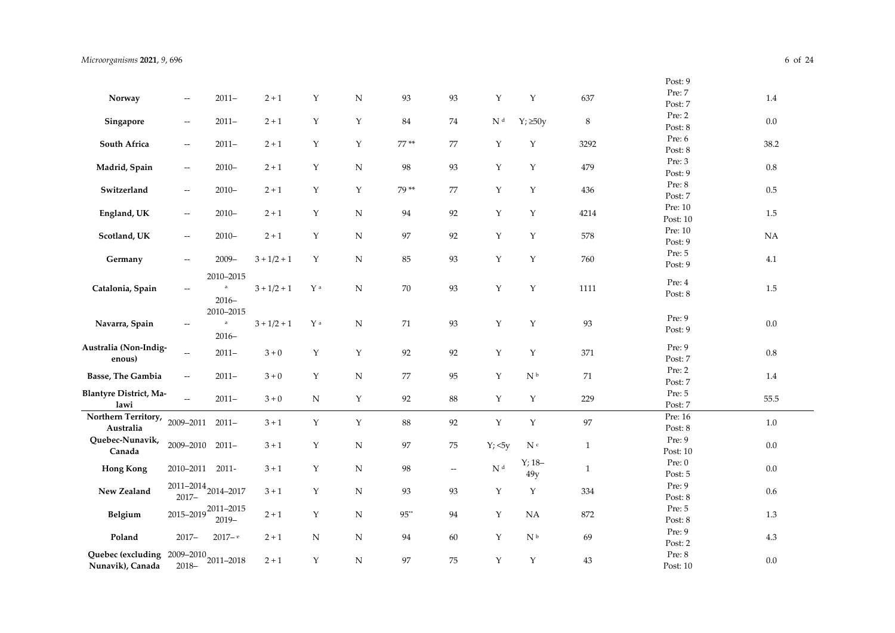|                               |                          |                                     |               |               |             |        |                                   |                          |                             |              | Post: 9            |           |
|-------------------------------|--------------------------|-------------------------------------|---------------|---------------|-------------|--------|-----------------------------------|--------------------------|-----------------------------|--------------|--------------------|-----------|
| Norway                        | $\overline{\phantom{a}}$ | $2011-$                             | $2 + 1$       | $\mathbf Y$   | ${\bf N}$   | 93     | 93                                | $\mathbf Y$              | $\mathbf Y$                 | 637          | Pre: 7             | $1.4\,$   |
|                               |                          |                                     |               |               |             |        |                                   |                          |                             |              | Post: 7            |           |
| Singapore                     | $- \, -$                 | $2011-$                             | $2 + 1$       | $\mathbf Y$   | $\mathbf Y$ | 84     | 74                                | $\mathbf{N}$ $^\text{d}$ | $Y; \geq 50y$               | $\,8\,$      | Pre: 2             | $0.0\,$   |
|                               |                          |                                     |               |               |             |        |                                   |                          |                             |              | Post: 8            |           |
| South Africa                  | $- \, -$                 | $2011 -$                            | $2 + 1$       | $\mathbf Y$   | Y           | $77**$ | 77                                | Y                        | Y                           | 3292         | Pre: 6             | 38.2      |
|                               |                          |                                     |               |               |             |        |                                   |                          |                             |              | Post: 8            |           |
| Madrid, Spain                 | $-\hbox{--}$             | $2010 -$                            | $2 + 1$       | Y             | N           | 98     | 93                                | Y                        | Y                           | 479          | Pre: 3             | $0.8\,$   |
|                               |                          |                                     |               |               |             |        |                                   |                          |                             |              | Post: 9            |           |
| Switzerland                   | $-\hbox{--}$             | $2010 -$                            | $2 + 1$       | $\mathbf Y$   | Y           | 79**   | 77                                | Y                        | Y                           | 436          | Pre: 8             | $0.5\,$   |
|                               |                          |                                     |               |               |             |        |                                   |                          |                             |              | Post: 7<br>Pre: 10 |           |
| England, UK                   | $-\hbox{--}$             | $2010 -$                            | $2 + 1$       | $\mathbf Y$   | ${\bf N}$   | 94     | 92                                | $\mathbf Y$              | $\mathbf Y$                 | 4214         | Post: 10           | $1.5\,$   |
|                               |                          |                                     |               |               |             |        |                                   |                          |                             |              | Pre: 10            |           |
| Scotland, UK                  | $\overline{\phantom{a}}$ | $2010 -$                            | $2 + 1$       | $\mathbf Y$   | ${\bf N}$   | 97     | 92                                | Y                        | Y                           | 578          | Post: 9            | <b>NA</b> |
|                               |                          |                                     |               |               |             |        |                                   |                          |                             |              | Pre: 5             |           |
| Germany                       | $-\hbox{--}$             | $2009 -$                            | $3 + 1/2 + 1$ | $\mathbf Y$   | N           | 85     | 93                                | $\mathbf Y$              | $\mathbf Y$                 | $760\,$      | Post: 9            | 4.1       |
|                               |                          | 2010-2015                           |               |               |             |        |                                   |                          |                             |              |                    |           |
| Catalonia, Spain              | $\overline{\phantom{a}}$ | $\mathsf a$                         | $3 + 1/2 + 1$ | $\mathbf Y$ a | ${\bf N}$   | $70\,$ | 93                                | $\mathbf Y$              | $\mathbf Y$                 | $1111\,$     | Pre: 4             | 1.5       |
|                               |                          | $2016-$                             |               |               |             |        |                                   |                          |                             |              | Post: 8            |           |
|                               |                          | 2010-2015                           |               |               |             |        |                                   |                          |                             |              |                    |           |
| Navarra, Spain                | $\overline{\phantom{a}}$ | $\mathbf{a}$                        | $3 + 1/2 + 1$ | $\mathbf Y$ a | ${\bf N}$   | 71     | 93                                | $\mathbf Y$              | $\mathbf Y$                 | 93           | Pre: 9             | $0.0\,$   |
|                               |                          | $2016-$                             |               |               |             |        |                                   |                          |                             |              | Post: 9            |           |
| Australia (Non-Indig-         |                          | $2011 -$                            | $3\div 0$     | $\mathbf Y$   | Υ           | 92     | 92                                | $\mathbf Y$              | $\mathbf Y$                 | 371          | Pre: 9             | $0.8\,$   |
| enous)                        | $-\hbox{--}$             |                                     |               |               |             |        |                                   |                          |                             |              | Post: 7            |           |
| Basse, The Gambia             | $\overline{\phantom{m}}$ | $2011 -$                            | $3 + 0$       | $\mathbf Y$   | ${\bf N}$   | $77\,$ | 95                                | $\mathbf Y$              | $\mathbf{N}$ $^{\rm b}$     | $71\,$       | Pre: 2             | 1.4       |
|                               |                          |                                     |               |               |             |        |                                   |                          |                             |              | Post: 7            |           |
| <b>Blantyre District, Ma-</b> | $\bar{\omega}$           | $2011 -$                            | $3+0$         | ${\bf N}$     | Y           | 92     | 88                                | $\mathbf Y$              | Y                           | 229          | Pre: 5             | 55.5      |
| lawi                          |                          |                                     |               |               |             |        |                                   |                          |                             |              | Post: 7            |           |
| Northern Territory,           | 2009-2011 2011-          |                                     | $3 + 1$       | $\mathbf Y$   | Y           | 88     | 92                                | $\mathbf Y$              | $\mathbf Y$                 | $\rm 97$     | Pre: 16            | $1.0\,$   |
| Australia                     |                          |                                     |               |               |             |        |                                   |                          |                             |              | Post: 8            |           |
| Quebec-Nunavik,<br>Canada     | 2009-2010                | $2011 -$                            | $3 + 1$       | $\mathbf Y$   | ${\bf N}$   | 97     | 75                                | Y; <5y                   | $\mathbf{N}$ c              | $\mathbf{1}$ | Pre: 9             | $0.0\,$   |
|                               |                          |                                     |               |               |             |        |                                   |                          | $Y; 18-$                    |              | Post: 10<br>Pre: 0 |           |
| <b>Hong Kong</b>              | 2010-2011 2011-          |                                     | $3 + 1$       | Y             | N           | 98     | $\hspace{0.05cm} \dashrightarrow$ | $\mathbf{N}$ $^\text{d}$ | 49y                         | $\mathbf{1}$ | Post: 5            | $0.0\,$   |
|                               |                          | $2011 - 2014$ <sub>2014-2017</sub>  |               |               |             |        |                                   |                          |                             |              | Pre: 9             |           |
| New Zealand                   |                          |                                     | $3 + 1$       | Y             | N           | 93     | 93                                | Y                        | Y                           | 334          | Post: 8            | 0.6       |
|                               |                          | $2015 - 2019 \n2011 - 2015$         |               |               |             |        |                                   |                          |                             |              | Pre: 5             |           |
| Belgium                       |                          | $2019-$                             | $2 + 1$       | $\mathbf Y$   | ${\bf N}$   | $95**$ | 94                                | Y                        | <b>NA</b>                   | 872          | Post: 8            | 1.3       |
|                               |                          |                                     |               |               |             |        |                                   |                          |                             |              | Pre: 9             |           |
| Poland                        | $2017 -$                 | $2017 - e$                          | $2 + 1$       | ${\bf N}$     | N           | 94     | 60                                | $\mathbf Y$              | $\mathrm{N}^{\,\mathrm{b}}$ | 69           | Post: 2            | $4.3\,$   |
| Quebec (excluding             |                          | $2009 - 2010$ <sub>2011</sub> -2018 |               | $\mathbf Y$   |             | 97     | 75                                | $\mathbf Y$              |                             | 43           | Pre: 8             | $0.0\,$   |
| Nunavik), Canada              |                          |                                     | $2 + 1$       |               | N           |        |                                   |                          | Y                           |              | Post: 10           |           |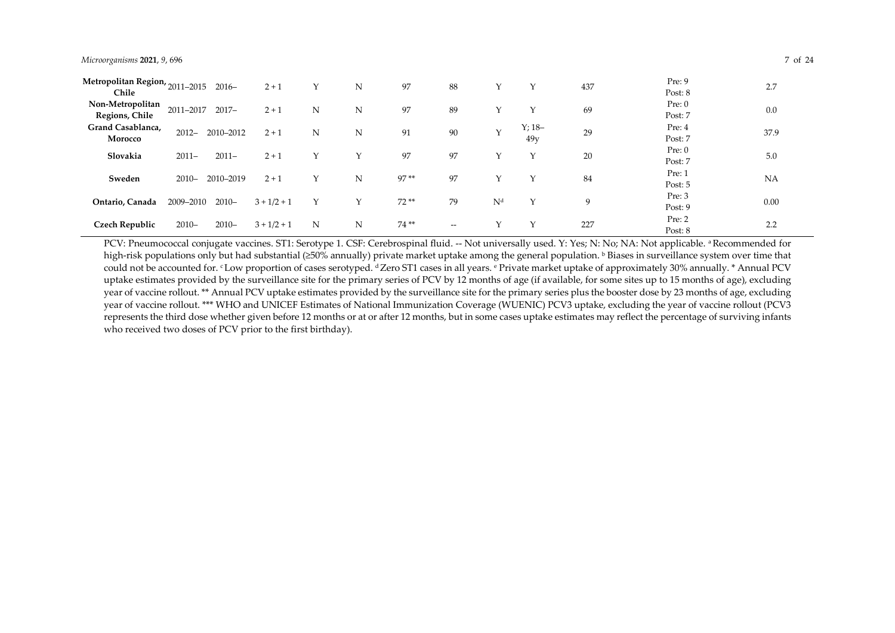#### *Microorganisms* **2021**, *9*, 696 7 of 24

| Metropolitan Region,<br>$'2011 - 2015$ |           | $2016-$   | $2 + 1$       | Υ | N | 97     | 88    |                |              | 437 | Pre: 9  | 2.7       |
|----------------------------------------|-----------|-----------|---------------|---|---|--------|-------|----------------|--------------|-----|---------|-----------|
| Chile                                  |           |           |               |   |   |        |       |                |              |     | Post: 8 |           |
| Non-Metropolitan                       | 2011-2017 | $2017 -$  | $2 + 1$       | N | N | 97     | 89    | $\sqrt{}$      |              | 69  | Pre: 0  | 0.0       |
| Regions, Chile                         |           |           |               |   |   |        |       |                |              |     | Post: 7 |           |
| Grand Casablanca,                      | $2012 -$  | 2010-2012 | $2 + 1$       | N | N | 91     | 90    | $\vee$         | $Y; 18-$     | 29  | Pre: 4  | 37.9      |
| Morocco                                |           |           |               |   |   |        |       |                | 49v          |     | Post: 7 |           |
| Slovakia                               | $2011 -$  | $2011 -$  | $2 + 1$       | Υ | Υ | 97     | 97    |                | $\checkmark$ | 20  | Pre: 0  | 5.0       |
|                                        |           |           |               |   |   |        |       |                |              |     | Post: 7 |           |
| Sweden                                 | $2010 -$  | 2010-2019 | $2 + 1$       | Y | N | $97**$ | 97    |                |              | 84  | Pre: 1  | <b>NA</b> |
|                                        |           |           |               |   |   |        |       |                |              |     | Post: 5 |           |
| Ontario, Canada                        | 2009-2010 | $2010 -$  | $3 + 1/2 + 1$ | Y | Y | $72**$ | 79    | N <sup>d</sup> | $\sqrt{}$    | 9   | Pre: 3  | 0.00      |
|                                        |           |           |               |   |   |        |       |                |              |     | Post: 9 |           |
| <b>Czech Republic</b>                  | $2010 -$  | $2010 -$  | $3 + 1/2 + 1$ | N | N | 74**   | $- -$ |                |              | 227 | Pre: 2  | 2.2       |
|                                        |           |           |               |   |   |        |       |                |              |     | Post: 8 |           |

PCV: Pneumococcal conjugate vaccines. ST1: Serotype 1. CSF: Cerebrospinal fluid. -- Not universally used. Y: Yes; N: No; NA: Not applicable. <sup>a</sup> Recommended for high-risk populations only but had substantial ( $\geq 50\%$  annually) private market uptake among the general population. b Biases in surveillance system over time that could not be accounted for. c Low proportion of cases serotyped. d Zero ST1 cases in all years. e Private market uptake of approximately 30% annually. \* Annual PCV uptake estimates provided by the surveillance site for the primary series of PCV by 12 months of age (if available, for some sites up to 15 months of age), excluding year of vaccine rollout. \*\* Annual PCV uptake estimates provided by the surveillance site for the primary series plus the booster dose by 23 months of age, excluding year of vaccine rollout. \*\*\* WHO and UNICEF Estimates of National Immunization Coverage (WUENIC) PCV3 uptake, excluding the year of vaccine rollout (PCV3 represents the third dose whether given before 12 months or at or after 12 months, but in some cases uptake estimates may reflect the percentage of surviving infants who received two doses of PCV prior to the first birthday).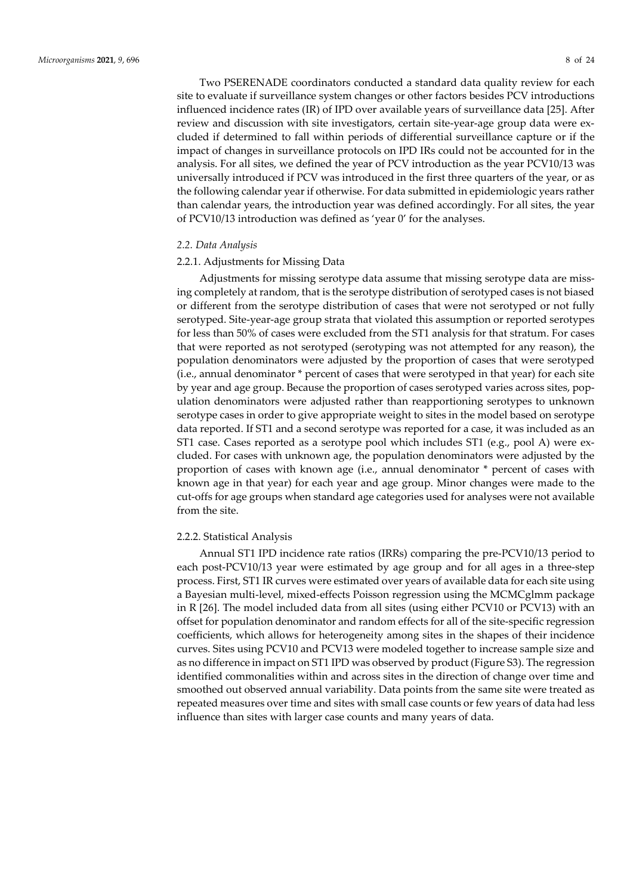Two PSERENADE coordinators conducted a standard data quality review for each site to evaluate if surveillance system changes or other factors besides PCV introductions influenced incidence rates (IR) of IPD over available years of surveillance data [25]. After review and discussion with site investigators, certain site-year-age group data were excluded if determined to fall within periods of differential surveillance capture or if the impact of changes in surveillance protocols on IPD IRs could not be accounted for in the analysis. For all sites, we defined the year of PCV introduction as the year PCV10/13 was universally introduced if PCV was introduced in the first three quarters of the year, or as the following calendar year if otherwise. For data submitted in epidemiologic years rather than calendar years, the introduction year was defined accordingly. For all sites, the year of PCV10/13 introduction was defined as 'year 0' for the analyses.

#### *2.2. Data Analysis*

# 2.2.1. Adjustments for Missing Data

Adjustments for missing serotype data assume that missing serotype data are missing completely at random, that is the serotype distribution of serotyped cases is not biased or different from the serotype distribution of cases that were not serotyped or not fully serotyped. Site-year-age group strata that violated this assumption or reported serotypes for less than 50% of cases were excluded from the ST1 analysis for that stratum. For cases that were reported as not serotyped (serotyping was not attempted for any reason), the population denominators were adjusted by the proportion of cases that were serotyped (i.e., annual denominator \* percent of cases that were serotyped in that year) for each site by year and age group. Because the proportion of cases serotyped varies across sites, population denominators were adjusted rather than reapportioning serotypes to unknown serotype cases in order to give appropriate weight to sites in the model based on serotype data reported. If ST1 and a second serotype was reported for a case, it was included as an ST1 case. Cases reported as a serotype pool which includes ST1 (e.g., pool A) were excluded. For cases with unknown age, the population denominators were adjusted by the proportion of cases with known age (i.e., annual denominator \* percent of cases with known age in that year) for each year and age group. Minor changes were made to the cut-offs for age groups when standard age categories used for analyses were not available from the site.

#### 2.2.2. Statistical Analysis

Annual ST1 IPD incidence rate ratios (IRRs) comparing the pre-PCV10/13 period to each post-PCV10/13 year were estimated by age group and for all ages in a three-step process. First, ST1 IR curves were estimated over years of available data for each site using a Bayesian multi-level, mixed-effects Poisson regression using the MCMCglmm package in R [26]. The model included data from all sites (using either PCV10 or PCV13) with an offset for population denominator and random effects for all of the site-specific regression coefficients, which allows for heterogeneity among sites in the shapes of their incidence curves. Sites using PCV10 and PCV13 were modeled together to increase sample size and as no difference in impact on ST1 IPD was observed by product (Figure S3). The regression identified commonalities within and across sites in the direction of change over time and smoothed out observed annual variability. Data points from the same site were treated as repeated measures over time and sites with small case counts or few years of data had less influence than sites with larger case counts and many years of data.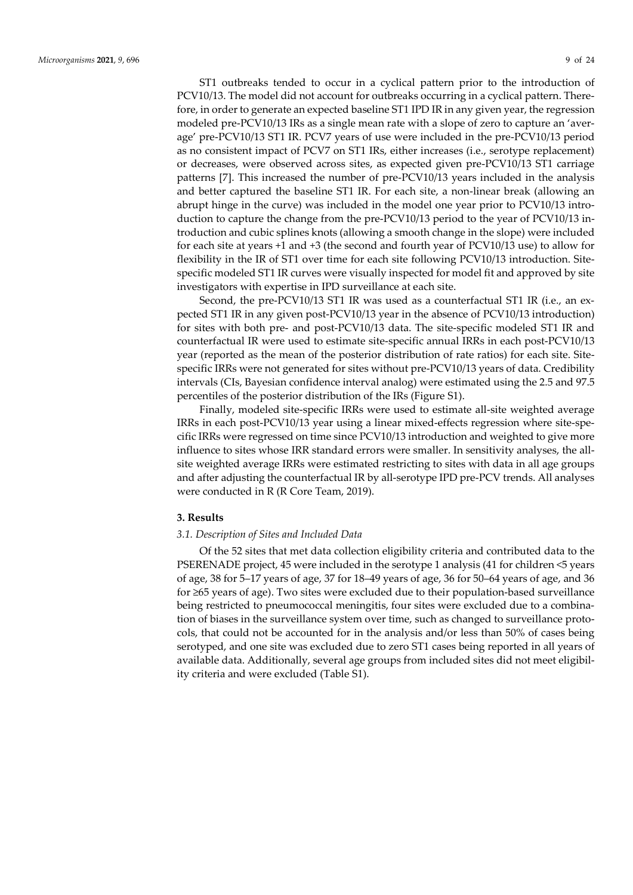ST1 outbreaks tended to occur in a cyclical pattern prior to the introduction of PCV10/13. The model did not account for outbreaks occurring in a cyclical pattern. Therefore, in order to generate an expected baseline ST1 IPD IR in any given year, the regression modeled pre-PCV10/13 IRs as a single mean rate with a slope of zero to capture an 'average' pre-PCV10/13 ST1 IR. PCV7 years of use were included in the pre-PCV10/13 period as no consistent impact of PCV7 on ST1 IRs, either increases (i.e., serotype replacement) or decreases, were observed across sites, as expected given pre-PCV10/13 ST1 carriage patterns [7]. This increased the number of pre-PCV10/13 years included in the analysis and better captured the baseline ST1 IR. For each site, a non-linear break (allowing an abrupt hinge in the curve) was included in the model one year prior to PCV10/13 introduction to capture the change from the pre-PCV10/13 period to the year of PCV10/13 introduction and cubic splines knots (allowing a smooth change in the slope) were included for each site at years +1 and +3 (the second and fourth year of PCV10/13 use) to allow for flexibility in the IR of ST1 over time for each site following PCV10/13 introduction. Sitespecific modeled ST1 IR curves were visually inspected for model fit and approved by site investigators with expertise in IPD surveillance at each site.

Second, the pre-PCV10/13 ST1 IR was used as a counterfactual ST1 IR (i.e., an expected ST1 IR in any given post-PCV10/13 year in the absence of PCV10/13 introduction) for sites with both pre- and post-PCV10/13 data. The site-specific modeled ST1 IR and counterfactual IR were used to estimate site-specific annual IRRs in each post-PCV10/13 year (reported as the mean of the posterior distribution of rate ratios) for each site. Sitespecific IRRs were not generated for sites without pre-PCV10/13 years of data. Credibility intervals (CIs, Bayesian confidence interval analog) were estimated using the 2.5 and 97.5 percentiles of the posterior distribution of the IRs (Figure S1).

Finally, modeled site-specific IRRs were used to estimate all-site weighted average IRRs in each post-PCV10/13 year using a linear mixed-effects regression where site-specific IRRs were regressed on time since PCV10/13 introduction and weighted to give more influence to sites whose IRR standard errors were smaller. In sensitivity analyses, the allsite weighted average IRRs were estimated restricting to sites with data in all age groups and after adjusting the counterfactual IR by all-serotype IPD pre-PCV trends. All analyses were conducted in R (R Core Team, 2019).

#### **3. Results**

#### *3.1. Description of Sites and Included Data*

Of the 52 sites that met data collection eligibility criteria and contributed data to the PSERENADE project, 45 were included in the serotype 1 analysis (41 for children <5 years of age, 38 for 5–17 years of age, 37 for 18–49 years of age, 36 for 50–64 years of age, and 36 for ≥65 years of age). Two sites were excluded due to their population-based surveillance being restricted to pneumococcal meningitis, four sites were excluded due to a combination of biases in the surveillance system over time, such as changed to surveillance protocols, that could not be accounted for in the analysis and/or less than 50% of cases being serotyped, and one site was excluded due to zero ST1 cases being reported in all years of available data. Additionally, several age groups from included sites did not meet eligibility criteria and were excluded (Table S1).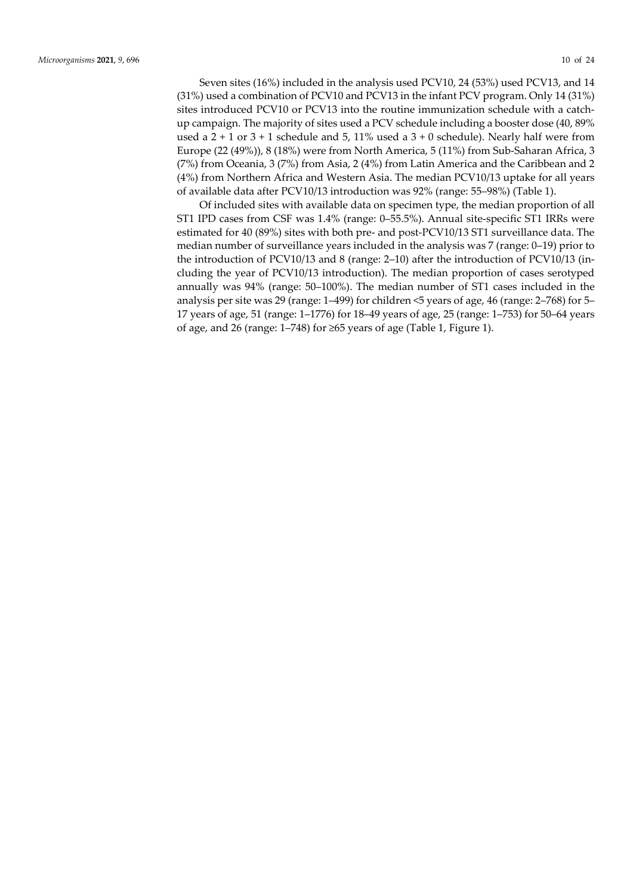Seven sites (16%) included in the analysis used PCV10, 24 (53%) used PCV13, and 14 (31%) used a combination of PCV10 and PCV13 in the infant PCV program. Only 14 (31%) sites introduced PCV10 or PCV13 into the routine immunization schedule with a catchup campaign. The majority of sites used a PCV schedule including a booster dose (40, 89% used a  $2 + 1$  or  $3 + 1$  schedule and 5, 11% used a  $3 + 0$  schedule). Nearly half were from Europe (22 (49%)), 8 (18%) were from North America, 5 (11%) from Sub-Saharan Africa, 3 (7%) from Oceania, 3 (7%) from Asia, 2 (4%) from Latin America and the Caribbean and 2 (4%) from Northern Africa and Western Asia. The median PCV10/13 uptake for all years of available data after PCV10/13 introduction was 92% (range: 55–98%) (Table 1).

Of included sites with available data on specimen type, the median proportion of all ST1 IPD cases from CSF was 1.4% (range: 0–55.5%). Annual site-specific ST1 IRRs were estimated for 40 (89%) sites with both pre- and post-PCV10/13 ST1 surveillance data. The median number of surveillance years included in the analysis was 7 (range: 0–19) prior to the introduction of PCV10/13 and 8 (range: 2–10) after the introduction of PCV10/13 (including the year of PCV10/13 introduction). The median proportion of cases serotyped annually was 94% (range: 50–100%). The median number of ST1 cases included in the analysis per site was 29 (range: 1–499) for children <5 years of age, 46 (range: 2–768) for 5– 17 years of age, 51 (range: 1–1776) for 18–49 years of age, 25 (range: 1–753) for 50–64 years of age, and 26 (range: 1–748) for ≥65 years of age (Table 1, Figure 1).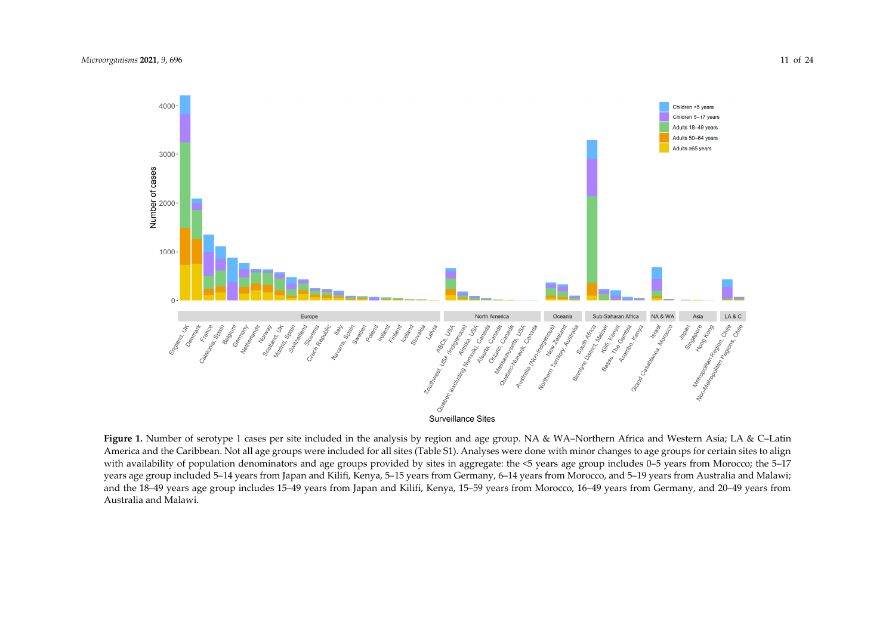

**Figure 1.** Number of serotype 1 cases per site included in the analysis by region and age group. NA & WA–Northern Africa and Western Asia; LA & C–Latin America and the Caribbean. Not all age groups were included for all sites (Table S1). Analyses were done with minor changes to age groups for certain sites to align with availability of population denominators and age groups provided by sites in aggregate: the <5 years age group includes 0–5 years from Morocco; the 5–17 years age group included 5–14 years from Japan and Kilifi, Kenya, 5–15 years from Germany, 6–14 years from Morocco, and 5–19 years from Australia and Malawi; and the 18–49 years age group includes 15–49 years from Japan and Kilifi, Kenya, 15–59 years from Morocco, 16–49 years from Germany, and 20–49 years from Australia and Malawi.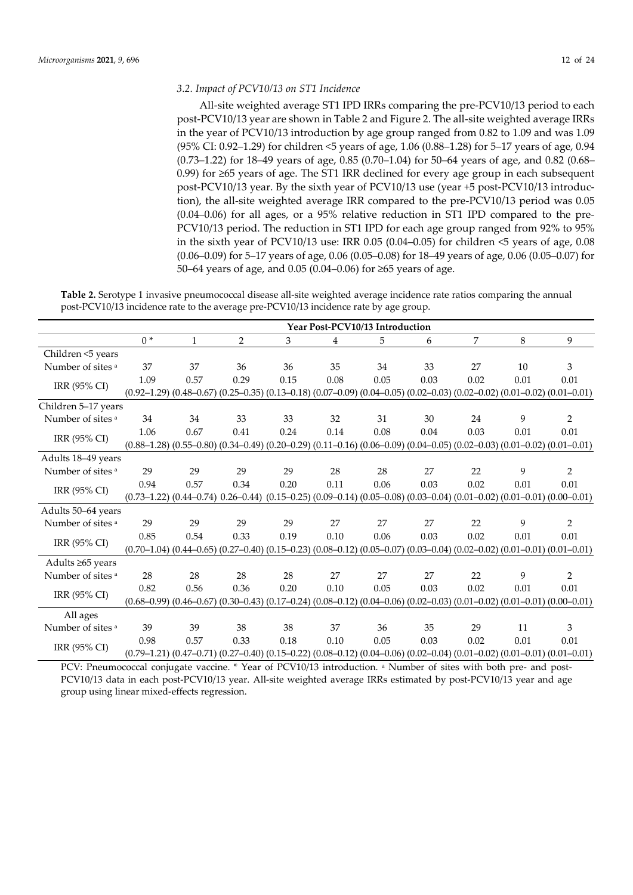## *3.2. Impact of PCV10/13 on ST1 Incidence*

All-site weighted average ST1 IPD IRRs comparing the pre-PCV10/13 period to each post-PCV10/13 year are shown in Table 2 and Figure 2. The all-site weighted average IRRs in the year of PCV10/13 introduction by age group ranged from 0.82 to 1.09 and was 1.09 (95% CI: 0.92–1.29) for children <5 years of age, 1.06 (0.88–1.28) for 5–17 years of age, 0.94  $(0.73-1.22)$  for 18–49 years of age,  $0.85$   $(0.70-1.04)$  for 50–64 years of age, and 0.82  $(0.68-$ 0.99) for ≥65 years of age. The ST1 IRR declined for every age group in each subsequent post-PCV10/13 year. By the sixth year of PCV10/13 use (year +5 post-PCV10/13 introduction), the all-site weighted average IRR compared to the pre-PCV10/13 period was 0.05 (0.04–0.06) for all ages, or a 95% relative reduction in ST1 IPD compared to the pre-PCV10/13 period. The reduction in ST1 IPD for each age group ranged from 92% to 95% in the sixth year of PCV10/13 use: IRR 0.05 (0.04–0.05) for children <5 years of age, 0.08 (0.06–0.09) for 5–17 years of age, 0.06 (0.05–0.08) for 18–49 years of age, 0.06 (0.05–0.07) for 50–64 years of age, and 0.05 (0.04–0.06) for ≥65 years of age.

**Table 2.** Serotype 1 invasive pneumococcal disease all-site weighted average incidence rate ratios comparing the annual post-PCV10/13 incidence rate to the average pre-PCV10/13 incidence rate by age group.

|                     |      |                                                                                                                                             |      |      |      | Year Post-PCV10/13 Introduction |      |      |      |                |
|---------------------|------|---------------------------------------------------------------------------------------------------------------------------------------------|------|------|------|---------------------------------|------|------|------|----------------|
|                     | $0*$ | $\mathbf{1}$                                                                                                                                | 2    | 3    | 4    | 5                               | 6    | 7    | 8    | 9              |
| Children <5 years   |      |                                                                                                                                             |      |      |      |                                 |      |      |      |                |
| Number of sites a   | 37   | 37                                                                                                                                          | 36   | 36   | 35   | 34                              | 33   | 27   | 10   | 3              |
| IRR (95% CI)        | 1.09 | 0.57                                                                                                                                        | 0.29 | 0.15 | 0.08 | 0.05                            | 0.03 | 0.02 | 0.01 | $0.01\,$       |
|                     |      | $(0.92-1.29)$ $(0.48-0.67)$ $(0.25-0.35)$ $(0.13-0.18)$ $(0.07-0.09)$ $(0.04-0.05)$ $(0.02-0.03)$ $(0.02-0.02)$ $(0.01-0.02)$ $(0.01-0.01)$ |      |      |      |                                 |      |      |      |                |
| Children 5-17 years |      |                                                                                                                                             |      |      |      |                                 |      |      |      |                |
| Number of sites a   | 34   | 34                                                                                                                                          | 33   | 33   | 32   | 31                              | 30   | 24   | 9    | $\overline{2}$ |
| IRR (95% CI)        | 1.06 | 0.67                                                                                                                                        | 0.41 | 0.24 | 0.14 | 0.08                            | 0.04 | 0.03 | 0.01 | 0.01           |
|                     |      | $(0.88-1.28)$ $(0.55-0.80)$ $(0.34-0.49)$ $(0.20-0.29)$ $(0.11-0.16)$ $(0.06-0.09)$ $(0.04-0.05)$ $(0.02-0.03)$ $(0.01-0.02)$ $(0.01-0.01)$ |      |      |      |                                 |      |      |      |                |
| Adults 18-49 years  |      |                                                                                                                                             |      |      |      |                                 |      |      |      |                |
| Number of sites a   | 29   | 29                                                                                                                                          | 29   | 29   | 28   | 28                              | 27   | 22   | 9    | $\overline{2}$ |
| IRR (95% CI)        | 0.94 | 0.57                                                                                                                                        | 0.34 | 0.20 | 0.11 | 0.06                            | 0.03 | 0.02 | 0.01 | 0.01           |
|                     |      | $(0.73-1.22)$ $(0.44-0.74)$ $0.26-0.44)$ $(0.15-0.25)$ $(0.09-0.14)$ $(0.05-0.08)$ $(0.03-0.04)$ $(0.01-0.02)$ $(0.01-0.01)$ $(0.00-0.01)$  |      |      |      |                                 |      |      |      |                |
| Adults 50-64 years  |      |                                                                                                                                             |      |      |      |                                 |      |      |      |                |
| Number of sites a   | 29   | 29                                                                                                                                          | 29   | 29   | 27   | 27                              | 27   | 22   | 9    | $\overline{2}$ |
| IRR (95% CI)        | 0.85 | 0.54                                                                                                                                        | 0.33 | 0.19 | 0.10 | 0.06                            | 0.03 | 0.02 | 0.01 | $0.01\,$       |
|                     |      | $(0.70-1.04)$ $(0.44-0.65)$ $(0.27-0.40)$ $(0.15-0.23)$ $(0.08-0.12)$ $(0.05-0.07)$ $(0.03-0.04)$ $(0.02-0.02)$ $(0.01-0.01)$ $(0.01-0.01)$ |      |      |      |                                 |      |      |      |                |
| Adults ≥65 years    |      |                                                                                                                                             |      |      |      |                                 |      |      |      |                |
| Number of sites a   | 28   | 28                                                                                                                                          | 28   | 28   | 27   | 27                              | 27   | 22   | 9    | $\overline{2}$ |
| IRR (95% CI)        | 0.82 | 0.56                                                                                                                                        | 0.36 | 0.20 | 0.10 | 0.05                            | 0.03 | 0.02 | 0.01 | 0.01           |
|                     |      | $(0.68-0.99)$ $(0.46-0.67)$ $(0.30-0.43)$ $(0.17-0.24)$ $(0.08-0.12)$ $(0.04-0.06)$ $(0.02-0.03)$ $(0.01-0.02)$ $(0.01-0.01)$ $(0.00-0.01)$ |      |      |      |                                 |      |      |      |                |
| All ages            |      |                                                                                                                                             |      |      |      |                                 |      |      |      |                |
| Number of sites a   | 39   | 39                                                                                                                                          | 38   | 38   | 37   | 36                              | 35   | 29   | 11   | 3              |
| IRR (95% CI)        | 0.98 | 0.57                                                                                                                                        | 0.33 | 0.18 | 0.10 | 0.05                            | 0.03 | 0.02 | 0.01 | 0.01           |
|                     |      | $(0.79-1.21)$ $(0.47-0.71)$ $(0.27-0.40)$ $(0.15-0.22)$ $(0.08-0.12)$ $(0.04-0.06)$ $(0.02-0.04)$ $(0.01-0.02)$ $(0.01-0.01)$ $(0.01-0.01)$ |      |      |      |                                 |      |      |      |                |

PCV: Pneumococcal conjugate vaccine. \* Year of PCV10/13 introduction. a Number of sites with both pre- and post-PCV10/13 data in each post-PCV10/13 year. All-site weighted average IRRs estimated by post-PCV10/13 year and age group using linear mixed-effects regression.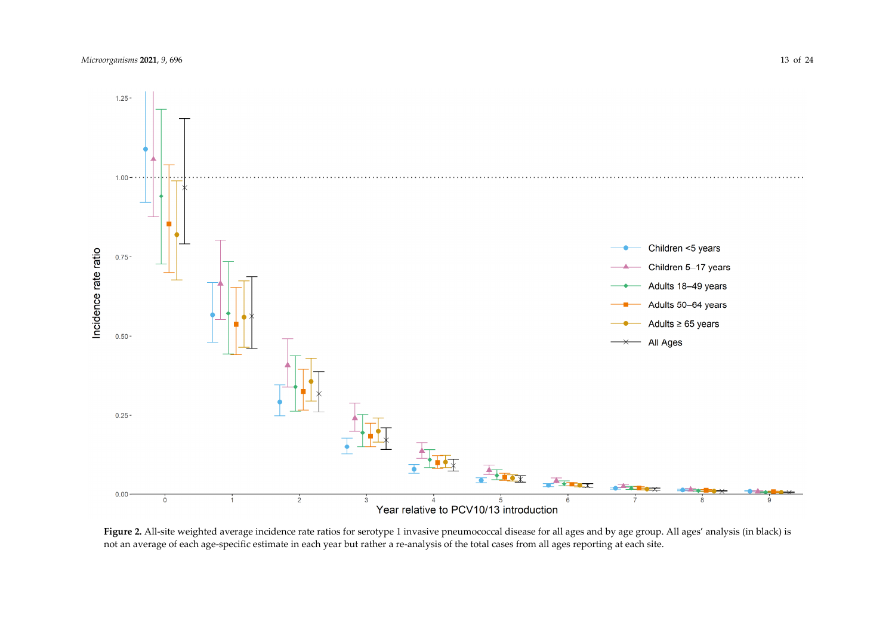

Figure 2. All-site weighted average incidence rate ratios for serotype 1 invasive pneumococcal disease for all ages and by age group. All ages' analysis (in black) is not an average of each age-specific estimate in each year but rather a re-analysis of the total cases from all ages reporting at each site.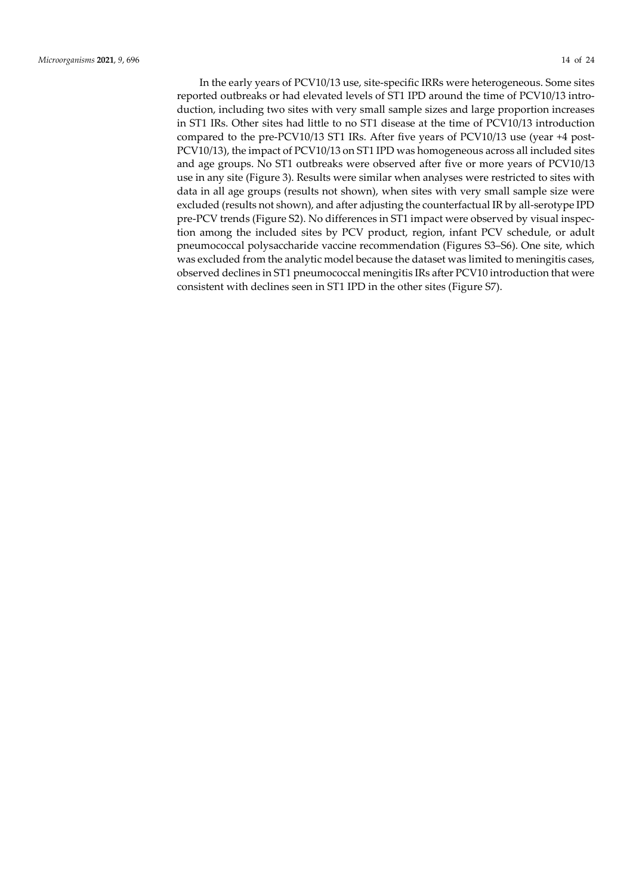In the early years of PCV10/13 use, site-specific IRRs were heterogeneous. Some sites reported outbreaks or had elevated levels of ST1 IPD around the time of PCV10/13 introduction, including two sites with very small sample sizes and large proportion increases in ST1 IRs. Other sites had little to no ST1 disease at the time of PCV10/13 introduction compared to the pre-PCV10/13 ST1 IRs. After five years of PCV10/13 use (year +4 post-PCV10/13), the impact of PCV10/13 on ST1 IPD was homogeneous across all included sites and age groups. No ST1 outbreaks were observed after five or more years of PCV10/13 use in any site (Figure 3). Results were similar when analyses were restricted to sites with data in all age groups (results not shown), when sites with very small sample size were excluded (results not shown), and after adjusting the counterfactual IR by all-serotype IPD pre-PCV trends (Figure S2). No differences in ST1 impact were observed by visual inspection among the included sites by PCV product, region, infant PCV schedule, or adult pneumococcal polysaccharide vaccine recommendation (Figures S3–S6). One site, which was excluded from the analytic model because the dataset was limited to meningitis cases, observed declines in ST1 pneumococcal meningitis IRs after PCV10 introduction that were consistent with declines seen in ST1 IPD in the other sites (Figure S7).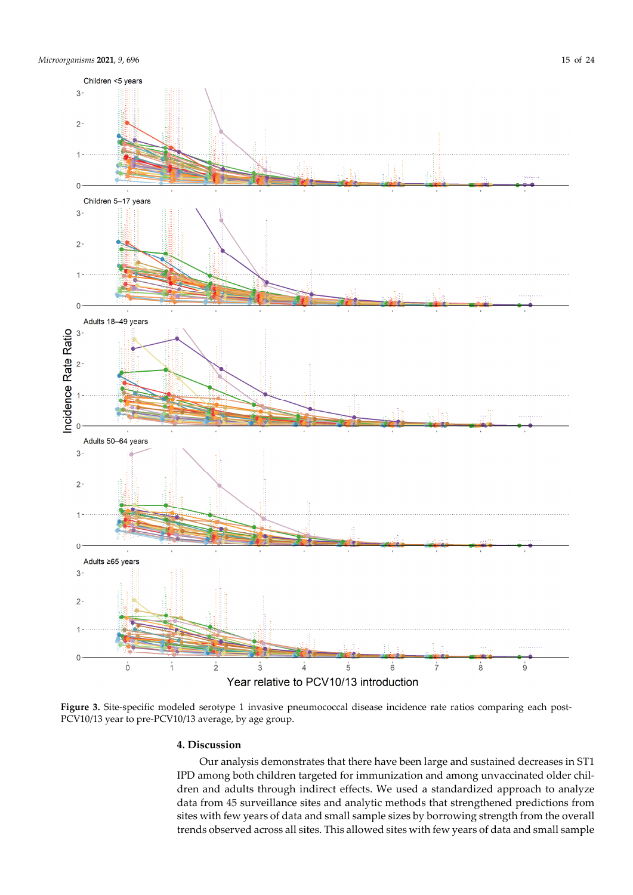

**Figure 3.** Site-specific modeled serotype 1 invasive pneumococcal disease incidence rate ratios comparing each post-PCV10/13 year to pre-PCV10/13 average, by age group.

## **4. Discussion**

Our analysis demonstrates that there have been large and sustained decreases in ST1 IPD among both children targeted for immunization and among unvaccinated older children and adults through indirect effects. We used a standardized approach to analyze data from 45 surveillance sites and analytic methods that strengthened predictions from sites with few years of data and small sample sizes by borrowing strength from the overall trends observed across all sites. This allowed sites with few years of data and small sample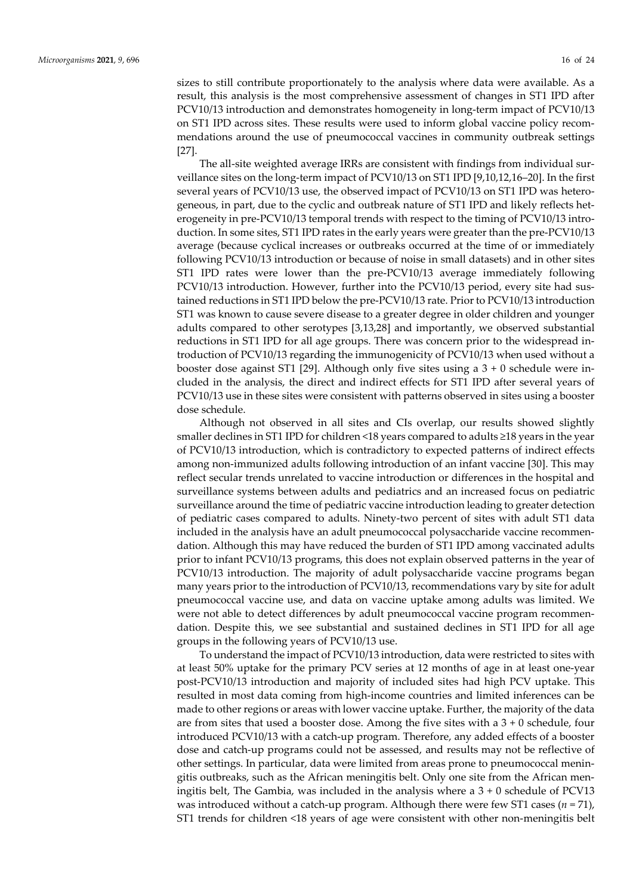sizes to still contribute proportionately to the analysis where data were available. As a result, this analysis is the most comprehensive assessment of changes in ST1 IPD after PCV10/13 introduction and demonstrates homogeneity in long-term impact of PCV10/13 on ST1 IPD across sites. These results were used to inform global vaccine policy recommendations around the use of pneumococcal vaccines in community outbreak settings [27].

The all-site weighted average IRRs are consistent with findings from individual surveillance sites on the long-term impact of PCV10/13 on ST1 IPD [9,10,12,16–20]. In the first several years of PCV10/13 use, the observed impact of PCV10/13 on ST1 IPD was heterogeneous, in part, due to the cyclic and outbreak nature of ST1 IPD and likely reflects heterogeneity in pre-PCV10/13 temporal trends with respect to the timing of PCV10/13 introduction. In some sites, ST1 IPD rates in the early years were greater than the pre-PCV10/13 average (because cyclical increases or outbreaks occurred at the time of or immediately following PCV10/13 introduction or because of noise in small datasets) and in other sites ST1 IPD rates were lower than the pre-PCV10/13 average immediately following PCV10/13 introduction. However, further into the PCV10/13 period, every site had sustained reductions in ST1 IPD below the pre-PCV10/13 rate. Prior to PCV10/13 introduction ST1 was known to cause severe disease to a greater degree in older children and younger adults compared to other serotypes [3,13,28] and importantly, we observed substantial reductions in ST1 IPD for all age groups. There was concern prior to the widespread introduction of PCV10/13 regarding the immunogenicity of PCV10/13 when used without a booster dose against ST1 [29]. Although only five sites using a 3 + 0 schedule were included in the analysis, the direct and indirect effects for ST1 IPD after several years of PCV10/13 use in these sites were consistent with patterns observed in sites using a booster dose schedule.

Although not observed in all sites and CIs overlap, our results showed slightly smaller declines in ST1 IPD for children <18 years compared to adults ≥18 years in the year of PCV10/13 introduction, which is contradictory to expected patterns of indirect effects among non-immunized adults following introduction of an infant vaccine [30]. This may reflect secular trends unrelated to vaccine introduction or differences in the hospital and surveillance systems between adults and pediatrics and an increased focus on pediatric surveillance around the time of pediatric vaccine introduction leading to greater detection of pediatric cases compared to adults. Ninety-two percent of sites with adult ST1 data included in the analysis have an adult pneumococcal polysaccharide vaccine recommendation. Although this may have reduced the burden of ST1 IPD among vaccinated adults prior to infant PCV10/13 programs, this does not explain observed patterns in the year of PCV10/13 introduction. The majority of adult polysaccharide vaccine programs began many years prior to the introduction of PCV10/13, recommendations vary by site for adult pneumococcal vaccine use, and data on vaccine uptake among adults was limited. We were not able to detect differences by adult pneumococcal vaccine program recommendation. Despite this, we see substantial and sustained declines in ST1 IPD for all age groups in the following years of PCV10/13 use.

To understand the impact of PCV10/13 introduction, data were restricted to sites with at least 50% uptake for the primary PCV series at 12 months of age in at least one-year post-PCV10/13 introduction and majority of included sites had high PCV uptake. This resulted in most data coming from high-income countries and limited inferences can be made to other regions or areas with lower vaccine uptake. Further, the majority of the data are from sites that used a booster dose. Among the five sites with a  $3 + 0$  schedule, four introduced PCV10/13 with a catch-up program. Therefore, any added effects of a booster dose and catch-up programs could not be assessed, and results may not be reflective of other settings. In particular, data were limited from areas prone to pneumococcal meningitis outbreaks, such as the African meningitis belt. Only one site from the African meningitis belt, The Gambia, was included in the analysis where a  $3 + 0$  schedule of PCV13 was introduced without a catch-up program. Although there were few ST1 cases (*n* = 71), ST1 trends for children <18 years of age were consistent with other non-meningitis belt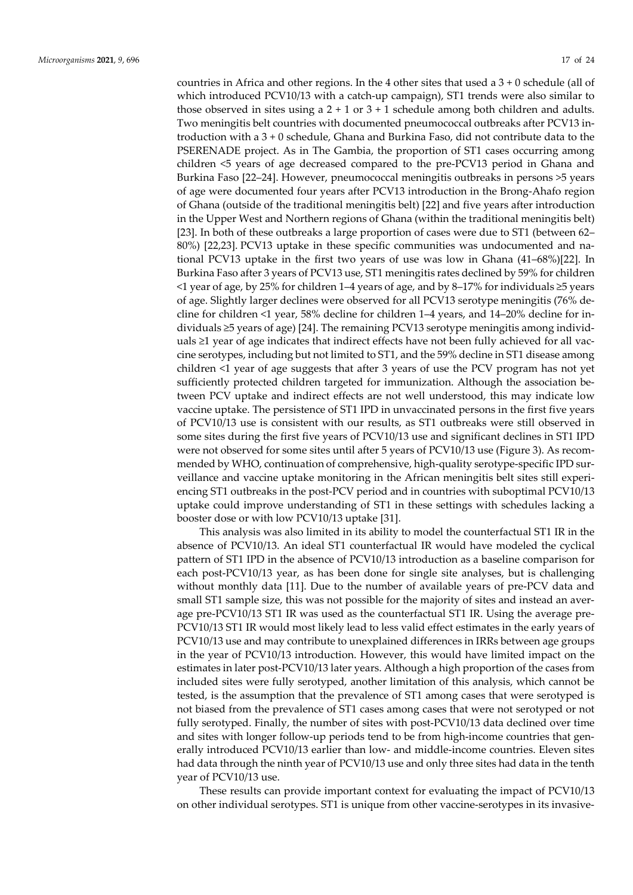countries in Africa and other regions. In the 4 other sites that used a 3 + 0 schedule (all of which introduced PCV10/13 with a catch-up campaign), ST1 trends were also similar to those observed in sites using a  $2 + 1$  or  $3 + 1$  schedule among both children and adults. Two meningitis belt countries with documented pneumococcal outbreaks after PCV13 introduction with a 3 + 0 schedule, Ghana and Burkina Faso, did not contribute data to the PSERENADE project. As in The Gambia, the proportion of ST1 cases occurring among children <5 years of age decreased compared to the pre-PCV13 period in Ghana and Burkina Faso [22–24]. However, pneumococcal meningitis outbreaks in persons >5 years of age were documented four years after PCV13 introduction in the Brong-Ahafo region of Ghana (outside of the traditional meningitis belt) [22] and five years after introduction in the Upper West and Northern regions of Ghana (within the traditional meningitis belt) [23]. In both of these outbreaks a large proportion of cases were due to ST1 (between 62– 80%) [22,23]. PCV13 uptake in these specific communities was undocumented and national PCV13 uptake in the first two years of use was low in Ghana (41–68%)[22]. In Burkina Faso after 3 years of PCV13 use, ST1 meningitis rates declined by 59% for children <1 year of age, by 25% for children 1–4 years of age, and by 8–17% for individuals ≥5 years of age. Slightly larger declines were observed for all PCV13 serotype meningitis (76% decline for children <1 year, 58% decline for children 1–4 years, and 14–20% decline for individuals ≥5 years of age) [24]. The remaining PCV13 serotype meningitis among individuals ≥1 year of age indicates that indirect effects have not been fully achieved for all vaccine serotypes, including but not limited to ST1, and the 59% decline in ST1 disease among children <1 year of age suggests that after 3 years of use the PCV program has not yet sufficiently protected children targeted for immunization. Although the association between PCV uptake and indirect effects are not well understood, this may indicate low vaccine uptake. The persistence of ST1 IPD in unvaccinated persons in the first five years of PCV10/13 use is consistent with our results, as ST1 outbreaks were still observed in some sites during the first five years of PCV10/13 use and significant declines in ST1 IPD were not observed for some sites until after 5 years of PCV10/13 use (Figure 3). As recommended by WHO, continuation of comprehensive, high-quality serotype-specific IPD surveillance and vaccine uptake monitoring in the African meningitis belt sites still experiencing ST1 outbreaks in the post-PCV period and in countries with suboptimal PCV10/13 uptake could improve understanding of ST1 in these settings with schedules lacking a booster dose or with low PCV10/13 uptake [31].

This analysis was also limited in its ability to model the counterfactual ST1 IR in the absence of PCV10/13. An ideal ST1 counterfactual IR would have modeled the cyclical pattern of ST1 IPD in the absence of PCV10/13 introduction as a baseline comparison for each post-PCV10/13 year, as has been done for single site analyses, but is challenging without monthly data [11]. Due to the number of available years of pre-PCV data and small ST1 sample size, this was not possible for the majority of sites and instead an average pre-PCV10/13 ST1 IR was used as the counterfactual ST1 IR. Using the average pre-PCV10/13 ST1 IR would most likely lead to less valid effect estimates in the early years of PCV10/13 use and may contribute to unexplained differences in IRRs between age groups in the year of PCV10/13 introduction. However, this would have limited impact on the estimates in later post-PCV10/13 later years. Although a high proportion of the cases from included sites were fully serotyped, another limitation of this analysis, which cannot be tested, is the assumption that the prevalence of ST1 among cases that were serotyped is not biased from the prevalence of ST1 cases among cases that were not serotyped or not fully serotyped. Finally, the number of sites with post-PCV10/13 data declined over time and sites with longer follow-up periods tend to be from high-income countries that generally introduced PCV10/13 earlier than low- and middle-income countries. Eleven sites had data through the ninth year of PCV10/13 use and only three sites had data in the tenth year of PCV10/13 use.

These results can provide important context for evaluating the impact of PCV10/13 on other individual serotypes. ST1 is unique from other vaccine-serotypes in its invasive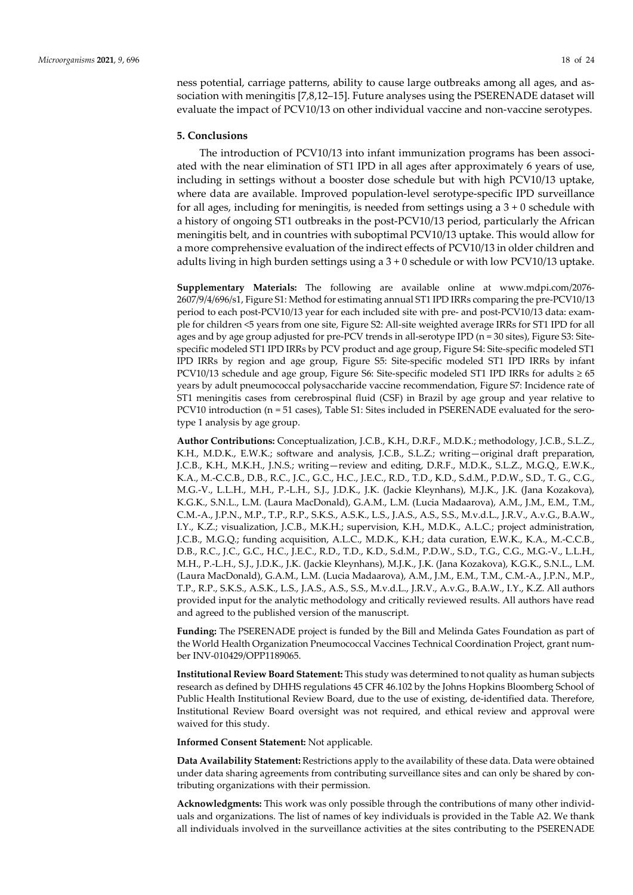ness potential, carriage patterns, ability to cause large outbreaks among all ages, and association with meningitis [7,8,12–15]. Future analyses using the PSERENADE dataset will evaluate the impact of PCV10/13 on other individual vaccine and non-vaccine serotypes.

## **5. Conclusions**

The introduction of PCV10/13 into infant immunization programs has been associated with the near elimination of ST1 IPD in all ages after approximately 6 years of use, including in settings without a booster dose schedule but with high PCV10/13 uptake, where data are available. Improved population-level serotype-specific IPD surveillance for all ages, including for meningitis, is needed from settings using  $a\,3 + 0$  schedule with a history of ongoing ST1 outbreaks in the post-PCV10/13 period, particularly the African meningitis belt, and in countries with suboptimal PCV10/13 uptake. This would allow for a more comprehensive evaluation of the indirect effects of PCV10/13 in older children and adults living in high burden settings using  $a 3 + 0$  schedule or with low PCV10/13 uptake.

**Supplementary Materials:** The following are available online at www.mdpi.com/2076- 2607/9/4/696/s1, Figure S1: Method for estimating annual ST1 IPD IRRs comparing the pre-PCV10/13 period to each post-PCV10/13 year for each included site with pre- and post-PCV10/13 data: example for children <5 years from one site, Figure S2: All-site weighted average IRRs for ST1 IPD for all ages and by age group adjusted for pre-PCV trends in all-serotype IPD (n = 30 sites), Figure S3: Sitespecific modeled ST1 IPD IRRs by PCV product and age group, Figure S4: Site-specific modeled ST1 IPD IRRs by region and age group, Figure S5: Site-specific modeled ST1 IPD IRRs by infant PCV10/13 schedule and age group, Figure S6: Site-specific modeled ST1 IPD IRRs for adults ≥ 65 years by adult pneumococcal polysaccharide vaccine recommendation, Figure S7: Incidence rate of ST1 meningitis cases from cerebrospinal fluid (CSF) in Brazil by age group and year relative to PCV10 introduction (n = 51 cases), Table S1: Sites included in PSERENADE evaluated for the serotype 1 analysis by age group.

**Author Contributions:** Conceptualization, J.C.B., K.H., D.R.F., M.D.K.; methodology, J.C.B., S.L.Z., K.H., M.D.K., E.W.K.; software and analysis, J.C.B., S.L.Z.; writing—original draft preparation, J.C.B., K.H., M.K.H., J.N.S.; writing—review and editing, D.R.F., M.D.K., S.L.Z., M.G.Q., E.W.K., K.A., M.-C.C.B., D.B., R.C., J.C., G.C., H.C., J.E.C., R.D., T.D., K.D., S.d.M., P.D.W., S.D., T. G., C.G., M.G.-V., L.L.H., M.H., P.-L.H., S.J., J.D.K., J.K. (Jackie Kleynhans), M.J.K., J.K. (Jana Kozakova), K.G.K., S.N.L., L.M. (Laura MacDonald), G.A.M., L.M. (Lucia Madaarova), A.M., J.M., E.M., T.M., C.M.-A., J.P.N., M.P., T.P., R.P., S.K.S., A.S.K., L.S., J.A.S., A.S., S.S., M.v.d.L., J.R.V., A.v.G., B.A.W., I.Y., K.Z.; visualization, J.C.B., M.K.H.; supervision, K.H., M.D.K., A.L.C.; project administration, J.C.B., M.G.Q.; funding acquisition, A.L.C., M.D.K., K.H.; data curation, E.W.K., K.A., M.-C.C.B., D.B., R.C., J.C., G.C., H.C., J.E.C., R.D., T.D., K.D., S.d.M., P.D.W., S.D., T.G., C.G., M.G.-V., L.L.H., M.H., P.-L.H., S.J., J.D.K., J.K. (Jackie Kleynhans), M.J.K., J.K. (Jana Kozakova), K.G.K., S.N.L., L.M. (Laura MacDonald), G.A.M., L.M. (Lucia Madaarova), A.M., J.M., E.M., T.M., C.M.-A., J.P.N., M.P., T.P., R.P., S.K.S., A.S.K., L.S., J.A.S., A.S., S.S., M.v.d.L., J.R.V., A.v.G., B.A.W., I.Y., K.Z. All authors provided input for the analytic methodology and critically reviewed results. All authors have read and agreed to the published version of the manuscript.

**Funding:** The PSERENADE project is funded by the Bill and Melinda Gates Foundation as part of the World Health Organization Pneumococcal Vaccines Technical Coordination Project, grant number INV-010429/OPP1189065.

**Institutional Review Board Statement:** This study was determined to not quality as human subjects research as defined by DHHS regulations 45 CFR 46.102 by the Johns Hopkins Bloomberg School of Public Health Institutional Review Board, due to the use of existing, de-identified data. Therefore, Institutional Review Board oversight was not required, and ethical review and approval were waived for this study.

**Informed Consent Statement:** Not applicable.

**Data Availability Statement:** Restrictions apply to the availability of these data. Data were obtained under data sharing agreements from contributing surveillance sites and can only be shared by contributing organizations with their permission.

**Acknowledgments:** This work was only possible through the contributions of many other individuals and organizations. The list of names of key individuals is provided in the Table A2. We thank all individuals involved in the surveillance activities at the sites contributing to the PSERENADE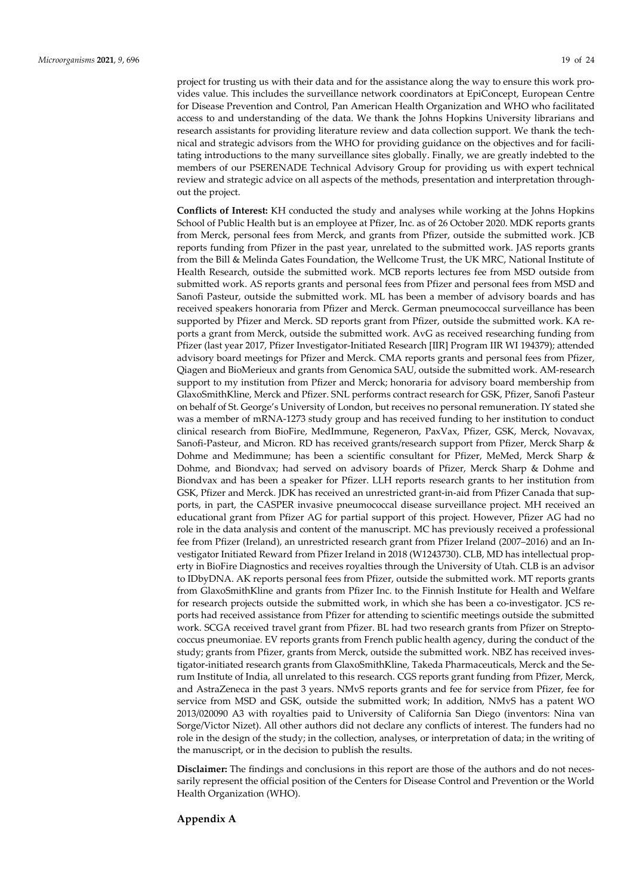project for trusting us with their data and for the assistance along the way to ensure this work provides value. This includes the surveillance network coordinators at EpiConcept, European Centre for Disease Prevention and Control, Pan American Health Organization and WHO who facilitated access to and understanding of the data. We thank the Johns Hopkins University librarians and research assistants for providing literature review and data collection support. We thank the technical and strategic advisors from the WHO for providing guidance on the objectives and for facilitating introductions to the many surveillance sites globally. Finally, we are greatly indebted to the members of our PSERENADE Technical Advisory Group for providing us with expert technical review and strategic advice on all aspects of the methods, presentation and interpretation throughout the project.

**Conflicts of Interest:** KH conducted the study and analyses while working at the Johns Hopkins School of Public Health but is an employee at Pfizer, Inc. as of 26 October 2020. MDK reports grants from Merck, personal fees from Merck, and grants from Pfizer, outside the submitted work. JCB reports funding from Pfizer in the past year, unrelated to the submitted work. JAS reports grants from the Bill & Melinda Gates Foundation, the Wellcome Trust, the UK MRC, National Institute of Health Research, outside the submitted work. MCB reports lectures fee from MSD outside from submitted work. AS reports grants and personal fees from Pfizer and personal fees from MSD and Sanofi Pasteur, outside the submitted work. ML has been a member of advisory boards and has received speakers honoraria from Pfizer and Merck. German pneumococcal surveillance has been supported by Pfizer and Merck. SD reports grant from Pfizer, outside the submitted work. KA reports a grant from Merck, outside the submitted work. AvG as received researching funding from Pfizer (last year 2017, Pfizer Investigator-Initiated Research [IIR] Program IIR WI 194379); attended advisory board meetings for Pfizer and Merck. CMA reports grants and personal fees from Pfizer, Qiagen and BioMerieux and grants from Genomica SAU, outside the submitted work. AM-research support to my institution from Pfizer and Merck; honoraria for advisory board membership from GlaxoSmithKline, Merck and Pfizer. SNL performs contract research for GSK, Pfizer, Sanofi Pasteur on behalf of St. George's University of London, but receives no personal remuneration. IY stated she was a member of mRNA-1273 study group and has received funding to her institution to conduct clinical research from BioFire, MedImmune, Regeneron, PaxVax, Pfizer, GSK, Merck, Novavax, Sanofi-Pasteur, and Micron. RD has received grants/research support from Pfizer, Merck Sharp & Dohme and Medimmune; has been a scientific consultant for Pfizer, MeMed, Merck Sharp & Dohme, and Biondvax; had served on advisory boards of Pfizer, Merck Sharp & Dohme and Biondvax and has been a speaker for Pfizer. LLH reports research grants to her institution from GSK, Pfizer and Merck. JDK has received an unrestricted grant-in-aid from Pfizer Canada that supports, in part, the CASPER invasive pneumococcal disease surveillance project. MH received an educational grant from Pfizer AG for partial support of this project. However, Pfizer AG had no role in the data analysis and content of the manuscript. MC has previously received a professional fee from Pfizer (Ireland), an unrestricted research grant from Pfizer Ireland (2007–2016) and an Investigator Initiated Reward from Pfizer Ireland in 2018 (W1243730). CLB, MD has intellectual property in BioFire Diagnostics and receives royalties through the University of Utah. CLB is an advisor to IDbyDNA. AK reports personal fees from Pfizer, outside the submitted work. MT reports grants from GlaxoSmithKline and grants from Pfizer Inc. to the Finnish Institute for Health and Welfare for research projects outside the submitted work, in which she has been a co-investigator. JCS reports had received assistance from Pfizer for attending to scientific meetings outside the submitted work. SCGA received travel grant from Pfizer. BL had two research grants from Pfizer on Streptococcus pneumoniae. EV reports grants from French public health agency, during the conduct of the study; grants from Pfizer, grants from Merck, outside the submitted work. NBZ has received investigator-initiated research grants from GlaxoSmithKline, Takeda Pharmaceuticals, Merck and the Serum Institute of India, all unrelated to this research. CGS reports grant funding from Pfizer, Merck, and AstraZeneca in the past 3 years. NMvS reports grants and fee for service from Pfizer, fee for service from MSD and GSK, outside the submitted work; In addition, NMvS has a patent WO 2013/020090 A3 with royalties paid to University of California San Diego (inventors: Nina van Sorge/Victor Nizet). All other authors did not declare any conflicts of interest. The funders had no role in the design of the study; in the collection, analyses, or interpretation of data; in the writing of the manuscript, or in the decision to publish the results.

**Disclaimer:** The findings and conclusions in this report are those of the authors and do not necessarily represent the official position of the Centers for Disease Control and Prevention or the World Health Organization (WHO).

**Appendix A**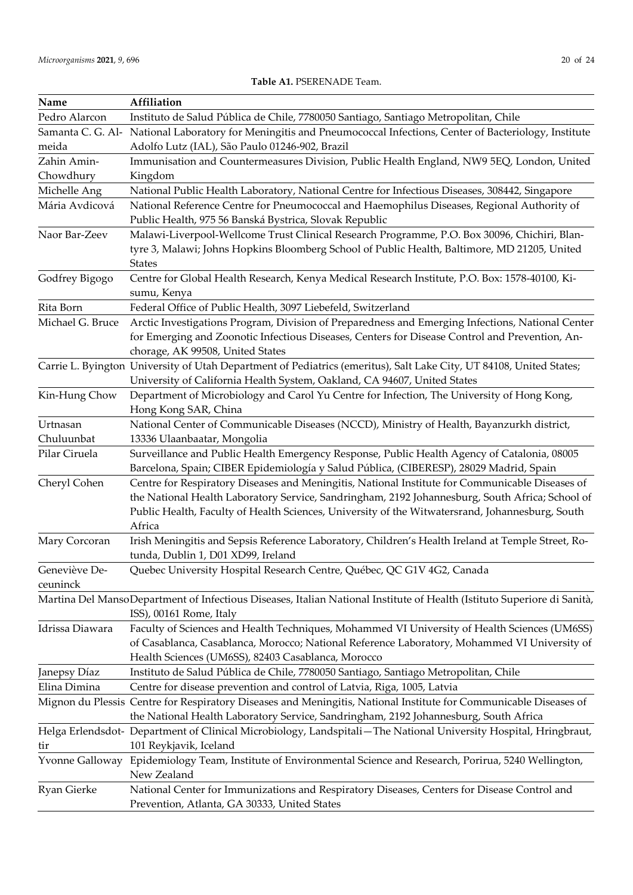| Name              | Affiliation                                                                                                             |
|-------------------|-------------------------------------------------------------------------------------------------------------------------|
| Pedro Alarcon     | Instituto de Salud Pública de Chile, 7780050 Santiago, Santiago Metropolitan, Chile                                     |
| Samanta C. G. Al- | National Laboratory for Meningitis and Pneumococcal Infections, Center of Bacteriology, Institute                       |
| meida             | Adolfo Lutz (IAL), São Paulo 01246-902, Brazil                                                                          |
| Zahin Amin-       | Immunisation and Countermeasures Division, Public Health England, NW9 5EQ, London, United                               |
| Chowdhury         | Kingdom                                                                                                                 |
| Michelle Ang      | National Public Health Laboratory, National Centre for Infectious Diseases, 308442, Singapore                           |
| Mária Avdicová    | National Reference Centre for Pneumococcal and Haemophilus Diseases, Regional Authority of                              |
|                   | Public Health, 975 56 Banská Bystrica, Slovak Republic                                                                  |
| Naor Bar-Zeev     | Malawi-Liverpool-Wellcome Trust Clinical Research Programme, P.O. Box 30096, Chichiri, Blan-                            |
|                   | tyre 3, Malawi; Johns Hopkins Bloomberg School of Public Health, Baltimore, MD 21205, United                            |
|                   | <b>States</b>                                                                                                           |
| Godfrey Bigogo    | Centre for Global Health Research, Kenya Medical Research Institute, P.O. Box: 1578-40100, Ki-                          |
|                   | sumu, Kenya                                                                                                             |
| Rita Born         | Federal Office of Public Health, 3097 Liebefeld, Switzerland                                                            |
| Michael G. Bruce  | Arctic Investigations Program, Division of Preparedness and Emerging Infections, National Center                        |
|                   | for Emerging and Zoonotic Infectious Diseases, Centers for Disease Control and Prevention, An-                          |
|                   | chorage, AK 99508, United States                                                                                        |
|                   | Carrie L. Byington University of Utah Department of Pediatrics (emeritus), Salt Lake City, UT 84108, United States;     |
|                   | University of California Health System, Oakland, CA 94607, United States                                                |
| Kin-Hung Chow     | Department of Microbiology and Carol Yu Centre for Infection, The University of Hong Kong,                              |
|                   | Hong Kong SAR, China                                                                                                    |
| Urtnasan          | National Center of Communicable Diseases (NCCD), Ministry of Health, Bayanzurkh district,                               |
| Chuluunbat        | 13336 Ulaanbaatar, Mongolia                                                                                             |
| Pilar Ciruela     | Surveillance and Public Health Emergency Response, Public Health Agency of Catalonia, 08005                             |
|                   | Barcelona, Spain; CIBER Epidemiología y Salud Pública, (CIBERESP), 28029 Madrid, Spain                                  |
| Cheryl Cohen      | Centre for Respiratory Diseases and Meningitis, National Institute for Communicable Diseases of                         |
|                   | the National Health Laboratory Service, Sandringham, 2192 Johannesburg, South Africa; School of                         |
|                   | Public Health, Faculty of Health Sciences, University of the Witwatersrand, Johannesburg, South                         |
|                   | Africa                                                                                                                  |
| Mary Corcoran     | Irish Meningitis and Sepsis Reference Laboratory, Children's Health Ireland at Temple Street, Ro-                       |
|                   | tunda, Dublin 1, D01 XD99, Ireland                                                                                      |
| Geneviève De-     | Quebec University Hospital Research Centre, Québec, QC G1V 4G2, Canada                                                  |
| ceuninck          |                                                                                                                         |
|                   | Martina Del MansoDepartment of Infectious Diseases, Italian National Institute of Health (Istituto Superiore di Sanità, |
|                   | ISS), 00161 Rome, Italy                                                                                                 |
| Idrissa Diawara   | Faculty of Sciences and Health Techniques, Mohammed VI University of Health Sciences (UM6SS)                            |
|                   | of Casablanca, Casablanca, Morocco; National Reference Laboratory, Mohammed VI University of                            |
|                   | Health Sciences (UM6SS), 82403 Casablanca, Morocco                                                                      |
| Janepsy Díaz      | Instituto de Salud Pública de Chile, 7780050 Santiago, Santiago Metropolitan, Chile                                     |
| Elina Dimina      | Centre for disease prevention and control of Latvia, Riga, 1005, Latvia                                                 |
|                   | Mignon du Plessis Centre for Respiratory Diseases and Meningitis, National Institute for Communicable Diseases of       |
|                   | the National Health Laboratory Service, Sandringham, 2192 Johannesburg, South Africa                                    |
|                   | Helga Erlendsdot- Department of Clinical Microbiology, Landspitali–The National University Hospital, Hringbraut,        |
| tir               | 101 Reykjavik, Iceland                                                                                                  |
|                   | Yvonne Galloway Epidemiology Team, Institute of Environmental Science and Research, Porirua, 5240 Wellington,           |
|                   | New Zealand                                                                                                             |
| Ryan Gierke       | National Center for Immunizations and Respiratory Diseases, Centers for Disease Control and                             |
|                   | Prevention, Atlanta, GA 30333, United States                                                                            |

# **Table A1.** PSERENADE Team.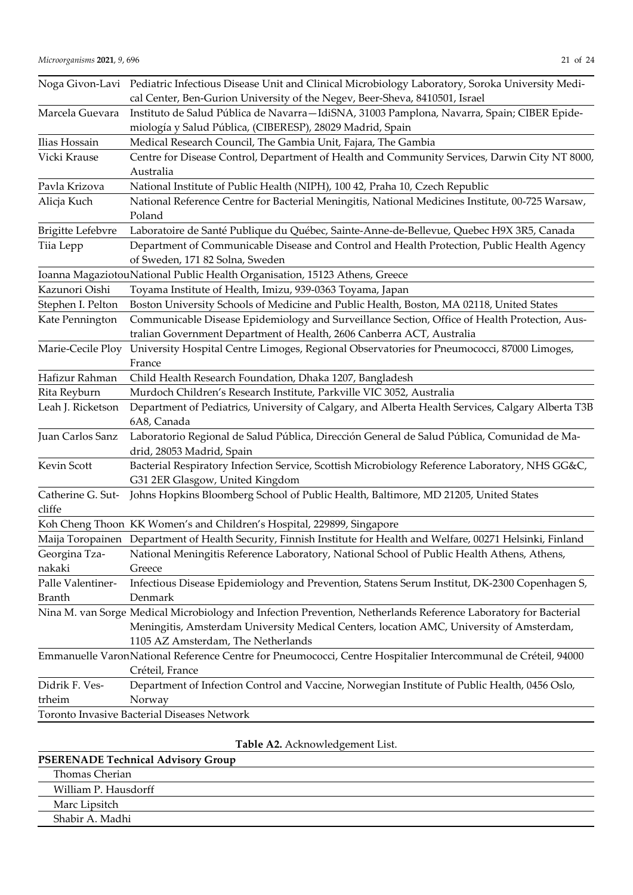|                   | Noga Givon-Lavi Pediatric Infectious Disease Unit and Clinical Microbiology Laboratory, Soroka University Medi-   |
|-------------------|-------------------------------------------------------------------------------------------------------------------|
|                   | cal Center, Ben-Gurion University of the Negev, Beer-Sheva, 8410501, Israel                                       |
| Marcela Guevara   | Instituto de Salud Pública de Navarra-IdiSNA, 31003 Pamplona, Navarra, Spain; CIBER Epide-                        |
|                   | miología y Salud Pública, (CIBERESP), 28029 Madrid, Spain                                                         |
| Ilias Hossain     | Medical Research Council, The Gambia Unit, Fajara, The Gambia                                                     |
| Vicki Krause      | Centre for Disease Control, Department of Health and Community Services, Darwin City NT 8000,                     |
|                   | Australia                                                                                                         |
| Pavla Krizova     | National Institute of Public Health (NIPH), 100 42, Praha 10, Czech Republic                                      |
| Alicja Kuch       | National Reference Centre for Bacterial Meningitis, National Medicines Institute, 00-725 Warsaw,                  |
|                   | Poland                                                                                                            |
| Brigitte Lefebvre | Laboratoire de Santé Publique du Québec, Sainte-Anne-de-Bellevue, Quebec H9X 3R5, Canada                          |
| Tiia Lepp         | Department of Communicable Disease and Control and Health Protection, Public Health Agency                        |
|                   | of Sweden, 171 82 Solna, Sweden                                                                                   |
|                   | Ioanna MagaziotouNational Public Health Organisation, 15123 Athens, Greece                                        |
| Kazunori Oishi    | Toyama Institute of Health, Imizu, 939-0363 Toyama, Japan                                                         |
| Stephen I. Pelton | Boston University Schools of Medicine and Public Health, Boston, MA 02118, United States                          |
| Kate Pennington   | Communicable Disease Epidemiology and Surveillance Section, Office of Health Protection, Aus-                     |
|                   | tralian Government Department of Health, 2606 Canberra ACT, Australia                                             |
| Marie-Cecile Ploy | University Hospital Centre Limoges, Regional Observatories for Pneumococci, 87000 Limoges,                        |
|                   | France                                                                                                            |
| Hafizur Rahman    | Child Health Research Foundation, Dhaka 1207, Bangladesh                                                          |
| Rita Reyburn      | Murdoch Children's Research Institute, Parkville VIC 3052, Australia                                              |
| Leah J. Ricketson | Department of Pediatrics, University of Calgary, and Alberta Health Services, Calgary Alberta T3B<br>6A8, Canada  |
| Juan Carlos Sanz  | Laboratorio Regional de Salud Pública, Dirección General de Salud Pública, Comunidad de Ma-                       |
|                   | drid, 28053 Madrid, Spain                                                                                         |
| Kevin Scott       | Bacterial Respiratory Infection Service, Scottish Microbiology Reference Laboratory, NHS GG&C,                    |
|                   | G31 2ER Glasgow, United Kingdom                                                                                   |
| Catherine G. Sut- | Johns Hopkins Bloomberg School of Public Health, Baltimore, MD 21205, United States                               |
| cliffe            |                                                                                                                   |
|                   | Koh Cheng Thoon KK Women's and Children's Hospital, 229899, Singapore                                             |
|                   | Maija Toropainen Department of Health Security, Finnish Institute for Health and Welfare, 00271 Helsinki, Finland |
| Georgina Tza-     | National Meningitis Reference Laboratory, National School of Public Health Athens, Athens,                        |
| nakaki            | Greece                                                                                                            |
| Palle Valentiner- | Infectious Disease Epidemiology and Prevention, Statens Serum Institut, DK-2300 Copenhagen S,                     |
| <b>Branth</b>     | Denmark                                                                                                           |
|                   | Nina M. van Sorge Medical Microbiology and Infection Prevention, Netherlands Reference Laboratory for Bacterial   |
|                   | Meningitis, Amsterdam University Medical Centers, location AMC, University of Amsterdam,                          |
|                   | 1105 AZ Amsterdam, The Netherlands                                                                                |
|                   | Emmanuelle VaronNational Reference Centre for Pneumococci, Centre Hospitalier Intercommunal de Créteil, 94000     |
|                   | Créteil, France                                                                                                   |
| Didrik F. Ves-    | Department of Infection Control and Vaccine, Norwegian Institute of Public Health, 0456 Oslo,                     |
| trheim            | Norway                                                                                                            |
|                   | Toronto Invasive Bacterial Diseases Network                                                                       |

**Table A2.** Acknowledgement List.

| <b>PSERENADE Technical Advisory Group</b> |  |
|-------------------------------------------|--|
| Thomas Cherian                            |  |
| William P. Hausdorff                      |  |
| Marc Lipsitch                             |  |
| Shabir A. Madhi                           |  |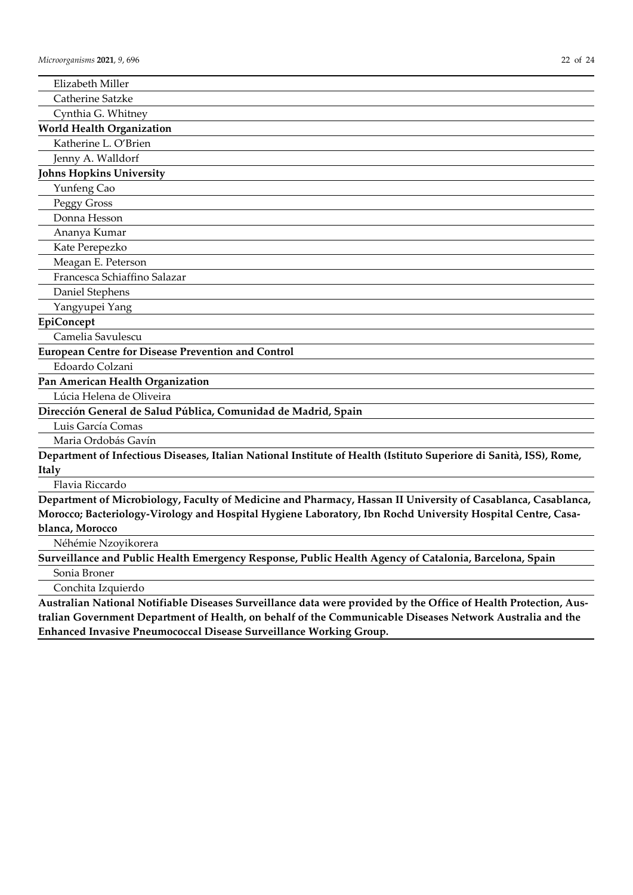| Elizabeth Miller                                                                                                   |
|--------------------------------------------------------------------------------------------------------------------|
| Catherine Satzke                                                                                                   |
| Cynthia G. Whitney                                                                                                 |
| <b>World Health Organization</b>                                                                                   |
| Katherine L. O'Brien                                                                                               |
| Jenny A. Walldorf                                                                                                  |
| <b>Johns Hopkins University</b>                                                                                    |
| Yunfeng Cao                                                                                                        |
| Peggy Gross                                                                                                        |
| Donna Hesson                                                                                                       |
| Ananya Kumar                                                                                                       |
| Kate Perepezko                                                                                                     |
| Meagan E. Peterson                                                                                                 |
| Francesca Schiaffino Salazar                                                                                       |
| Daniel Stephens                                                                                                    |
| Yangyupei Yang                                                                                                     |
| EpiConcept                                                                                                         |
| Camelia Savulescu                                                                                                  |
| <b>European Centre for Disease Prevention and Control</b>                                                          |
| Edoardo Colzani                                                                                                    |
| Pan American Health Organization                                                                                   |
| Lúcia Helena de Oliveira                                                                                           |
| Dirección General de Salud Pública, Comunidad de Madrid, Spain                                                     |
| Luis García Comas                                                                                                  |
| Maria Ordobás Gavín                                                                                                |
| Department of Infectious Diseases, Italian National Institute of Health (Istituto Superiore di Sanità, ISS), Rome, |
| Italy                                                                                                              |
| Flavia Riccardo                                                                                                    |
| Department of Microbiology, Faculty of Medicine and Pharmacy, Hassan II University of Casablanca, Casablanca,      |
| Morocco; Bacteriology-Virology and Hospital Hygiene Laboratory, Ibn Rochd University Hospital Centre, Casa-        |
| blanca, Morocco                                                                                                    |
| Néhémie Nzoyikorera                                                                                                |
| Surveillance and Public Health Emergency Response, Public Health Agency of Catalonia, Barcelona, Spain             |
| Sonia Broner                                                                                                       |
|                                                                                                                    |

Conchita Izquierdo

**Australian National Notifiable Diseases Surveillance data were provided by the Office of Health Protection, Australian Government Department of Health, on behalf of the Communicable Diseases Network Australia and the Enhanced Invasive Pneumococcal Disease Surveillance Working Group.**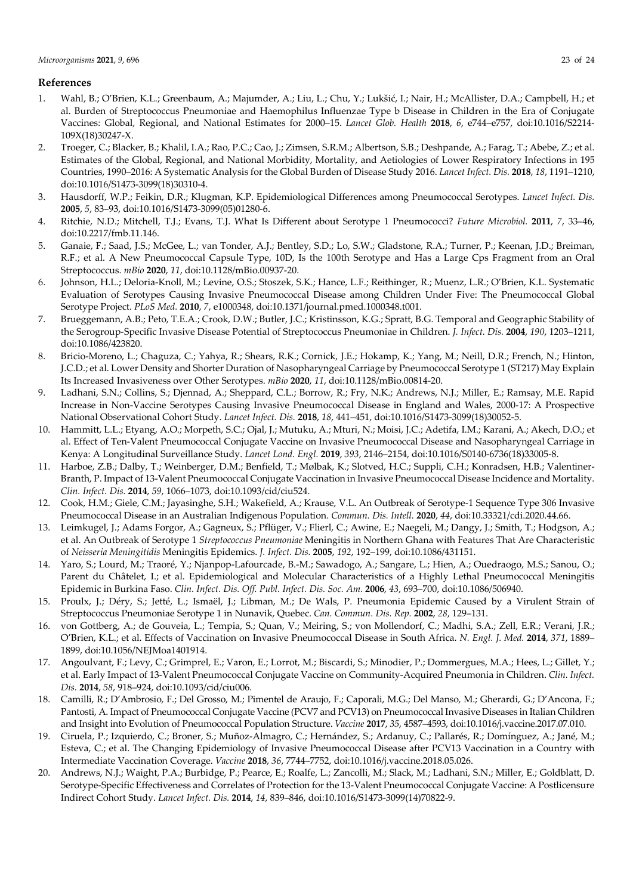# **References**

- 1. Wahl, B.; O'Brien, K.L.; Greenbaum, A.; Majumder, A.; Liu, L.; Chu, Y.; Lukšić, I.; Nair, H.; McAllister, D.A.; Campbell, H.; et al. Burden of Streptococcus Pneumoniae and Haemophilus Influenzae Type b Disease in Children in the Era of Conjugate Vaccines: Global, Regional, and National Estimates for 2000–15. *Lancet Glob. Health* **2018**, *6*, e744–e757, doi:10.1016/S2214- 109X(18)30247-X.
- 2. Troeger, C.; Blacker, B.; Khalil, I.A.; Rao, P.C.; Cao, J.; Zimsen, S.R.M.; Albertson, S.B.; Deshpande, A.; Farag, T.; Abebe, Z.; et al. Estimates of the Global, Regional, and National Morbidity, Mortality, and Aetiologies of Lower Respiratory Infections in 195 Countries, 1990–2016: A Systematic Analysis for the Global Burden of Disease Study 2016. *Lancet Infect. Dis.* **2018**, *18*, 1191–1210, doi:10.1016/S1473-3099(18)30310-4.
- 3. Hausdorff, W.P.; Feikin, D.R.; Klugman, K.P. Epidemiological Differences among Pneumococcal Serotypes. *Lancet Infect. Dis.* **2005**, *5*, 83–93, doi:10.1016/S1473-3099(05)01280-6.
- 4. Ritchie, N.D.; Mitchell, T.J.; Evans, T.J. What Is Different about Serotype 1 Pneumococci? *Future Microbiol.* **2011**, *7*, 33–46, doi:10.2217/fmb.11.146.
- 5. Ganaie, F.; Saad, J.S.; McGee, L.; van Tonder, A.J.; Bentley, S.D.; Lo, S.W.; Gladstone, R.A.; Turner, P.; Keenan, J.D.; Breiman, R.F.; et al. A New Pneumococcal Capsule Type, 10D, Is the 100th Serotype and Has a Large Cps Fragment from an Oral Streptococcus. *mBio* **2020**, *11*, doi:10.1128/mBio.00937-20.
- 6. Johnson, H.L.; Deloria-Knoll, M.; Levine, O.S.; Stoszek, S.K.; Hance, L.F.; Reithinger, R.; Muenz, L.R.; O'Brien, K.L. Systematic Evaluation of Serotypes Causing Invasive Pneumococcal Disease among Children Under Five: The Pneumococcal Global Serotype Project. *PLoS Med.* **2010**, *7*, e1000348, doi:10.1371/journal.pmed.1000348.t001.
- 7. Brueggemann, A.B.; Peto, T.E.A.; Crook, D.W.; Butler, J.C.; Kristinsson, K.G.; Spratt, B.G. Temporal and Geographic Stability of the Serogroup-Specific Invasive Disease Potential of Streptococcus Pneumoniae in Children. *J. Infect. Dis.* **2004**, *190*, 1203–1211, doi:10.1086/423820.
- 8. Bricio-Moreno, L.; Chaguza, C.; Yahya, R.; Shears, R.K.; Cornick, J.E.; Hokamp, K.; Yang, M.; Neill, D.R.; French, N.; Hinton, J.C.D.; et al. Lower Density and Shorter Duration of Nasopharyngeal Carriage by Pneumococcal Serotype 1 (ST217) May Explain Its Increased Invasiveness over Other Serotypes. *mBio* **2020**, *11*, doi:10.1128/mBio.00814-20.
- 9. Ladhani, S.N.; Collins, S.; Djennad, A.; Sheppard, C.L.; Borrow, R.; Fry, N.K.; Andrews, N.J.; Miller, E.; Ramsay, M.E. Rapid Increase in Non-Vaccine Serotypes Causing Invasive Pneumococcal Disease in England and Wales, 2000-17: A Prospective National Observational Cohort Study. *Lancet Infect. Dis.* **2018**, *18*, 441–451, doi:10.1016/S1473-3099(18)30052-5.
- 10. Hammitt, L.L.; Etyang, A.O.; Morpeth, S.C.; Ojal, J.; Mutuku, A.; Mturi, N.; Moisi, J.C.; Adetifa, I.M.; Karani, A.; Akech, D.O.; et al. Effect of Ten-Valent Pneumococcal Conjugate Vaccine on Invasive Pneumococcal Disease and Nasopharyngeal Carriage in Kenya: A Longitudinal Surveillance Study. *Lancet Lond. Engl.* **2019**, *393*, 2146–2154, doi:10.1016/S0140-6736(18)33005-8.
- 11. Harboe, Z.B.; Dalby, T.; Weinberger, D.M.; Benfield, T.; Mølbak, K.; Slotved, H.C.; Suppli, C.H.; Konradsen, H.B.; Valentiner-Branth, P. Impact of 13-Valent Pneumococcal Conjugate Vaccination in Invasive Pneumococcal Disease Incidence and Mortality. *Clin. Infect. Dis.* **2014**, *59*, 1066–1073, doi:10.1093/cid/ciu524.
- 12. Cook, H.M.; Giele, C.M.; Jayasinghe, S.H.; Wakefield, A.; Krause, V.L. An Outbreak of Serotype-1 Sequence Type 306 Invasive Pneumococcal Disease in an Australian Indigenous Population. *Commun. Dis. Intell.* **2020**, *44*, doi:10.33321/cdi.2020.44.66.
- 13. Leimkugel, J.; Adams Forgor, A.; Gagneux, S.; Pflüger, V.; Flierl, C.; Awine, E.; Naegeli, M.; Dangy, J.; Smith, T.; Hodgson, A.; et al. An Outbreak of Serotype 1 *Streptococcus Pneumoniae* Meningitis in Northern Ghana with Features That Are Characteristic of *Neisseria Meningitidis* Meningitis Epidemics. *J. Infect. Dis.* **2005**, *192*, 192–199, doi:10.1086/431151.
- 14. Yaro, S.; Lourd, M.; Traoré, Y.; Njanpop-Lafourcade, B.-M.; Sawadogo, A.; Sangare, L.; Hien, A.; Ouedraogo, M.S.; Sanou, O.; Parent du Châtelet, I.; et al. Epidemiological and Molecular Characteristics of a Highly Lethal Pneumococcal Meningitis Epidemic in Burkina Faso. *Clin. Infect. Dis. Off. Publ. Infect. Dis. Soc. Am.* **2006**, *43*, 693–700, doi:10.1086/506940.
- 15. Proulx, J.; Déry, S.; Jetté, L.; Ismaël, J.; Libman, M.; De Wals, P. Pneumonia Epidemic Caused by a Virulent Strain of Streptococcus Pneumoniae Serotype 1 in Nunavik, Quebec. *Can. Commun. Dis. Rep.* **2002**, *28*, 129–131.
- 16. von Gottberg, A.; de Gouveia, L.; Tempia, S.; Quan, V.; Meiring, S.; von Mollendorf, C.; Madhi, S.A.; Zell, E.R.; Verani, J.R.; O'Brien, K.L.; et al. Effects of Vaccination on Invasive Pneumococcal Disease in South Africa. *N. Engl. J. Med.* **2014**, *371*, 1889– 1899, doi:10.1056/NEJMoa1401914.
- 17. Angoulvant, F.; Levy, C.; Grimprel, E.; Varon, E.; Lorrot, M.; Biscardi, S.; Minodier, P.; Dommergues, M.A.; Hees, L.; Gillet, Y.; et al. Early Impact of 13-Valent Pneumococcal Conjugate Vaccine on Community-Acquired Pneumonia in Children. *Clin. Infect. Dis.* **2014**, *58*, 918–924, doi:10.1093/cid/ciu006.
- 18. Camilli, R.; D'Ambrosio, F.; Del Grosso, M.; Pimentel de Araujo, F.; Caporali, M.G.; Del Manso, M.; Gherardi, G.; D'Ancona, F.; Pantosti, A. Impact of Pneumococcal Conjugate Vaccine (PCV7 and PCV13) on Pneumococcal Invasive Diseases in Italian Children and Insight into Evolution of Pneumococcal Population Structure. *Vaccine* **2017**, *35*, 4587–4593, doi:10.1016/j.vaccine.2017.07.010.
- 19. Ciruela, P.; Izquierdo, C.; Broner, S.; Muñoz-Almagro, C.; Hernández, S.; Ardanuy, C.; Pallarés, R.; Domínguez, A.; Jané, M.; Esteva, C.; et al. The Changing Epidemiology of Invasive Pneumococcal Disease after PCV13 Vaccination in a Country with Intermediate Vaccination Coverage. *Vaccine* **2018**, *36*, 7744–7752, doi:10.1016/j.vaccine.2018.05.026.
- 20. Andrews, N.J.; Waight, P.A.; Burbidge, P.; Pearce, E.; Roalfe, L.; Zancolli, M.; Slack, M.; Ladhani, S.N.; Miller, E.; Goldblatt, D. Serotype-Specific Effectiveness and Correlates of Protection for the 13-Valent Pneumococcal Conjugate Vaccine: A Postlicensure Indirect Cohort Study. *Lancet Infect. Dis.* **2014**, *14*, 839–846, doi:10.1016/S1473-3099(14)70822-9.